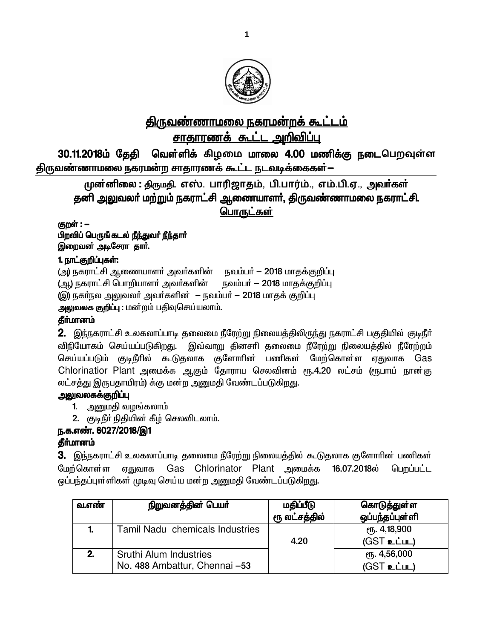

# <u>திருவண்ணாமலை நகரமன்றக் கூட்டம்</u> சாதாரணக் கூட்ட அறிவிப்பு

30.11.2018ம் தேதி வெள்ளிக் கிழமை மாலை 4.00 மணிக்கு நடைபெறவுள்ள திருவண்ணாமலை நகரமன்ற சாதாரணக் கூட்ட நடவடிக்கைகள்—

முன்னிலை : திருமதி. எஸ். பாரிஜாதம், பி.பார்ம்., எம்.பி.ஏ., அவர்கள் தனி அலுவலா் மற்றும் நகராட்சி ஆணையாளா், திருவண்ணாமலை நகராட்சி. பொருட்கள்

குறள் : **–** பிறவிப் பெருங்கடல் நீந்துவர் நீந்தார் இறைவன் அடிசேரா தார்.

# 1. நாட்குறிப்புகள்:

(அ) நகராட்சி ஆணையாளர் அவர்களின் நவம்பர் – 2018 மாதக்குறிப்பு (ஆ) நகராட்சி பொறியாளா் அவா்களின் நவம்பா் — 2018 மாதக்குறிப்பு (இ) நகர்நல அலுவலர் அவர்களின் – நவம்பர் – 2018 மாதக் குறிப்பு

அலுவலக குறிப்பு : மன்றம் பதிவுசெய்யலாம்.

## தீா்மானம்

2. இந்நகராட்சி உலகலாப்பாடி தலைமை நீரேற்று நிலையத்திலிருந்து நகராட்சி பகுதியில் குடிநீர் விநியோகம் செய்யப்படுகிறது. இவ்வாறு தினசாி தலைமை நீரேற்று நிலையத்தில் நீரேற்றம் செய்யப்படும் குடிநீரில் கூடுதலாக குளோரின் பணிகள் மேற்கொள்ள ஏதுவாக Gas Chlorinatior Plant அமைக்க ஆகும் தோராய செலவினம் ரூ.4.20 லட்சம் (ரூபாய் நான்கு லட்சத்து இருபதாயிரம்) க்கு மன்ற அனுமதி வேண்டப்படுகிறது.

## <u>அலுவலகக்குறிப்பு</u>

- 1. அனுமதி வழங்கலாம்
- 2. குடிநீா் நிதியின் கீழ் செலவிடலாம்.

## ந.க.எண். 6027/2018/இ1

## **தீர்மானம்**

3. இந்நகராட்சி உலகலாப்பாடி தலைமை நீரேற்று நிலையத்தில் கூடுதலாக குளோரின் பணிகள் மேற்கொள்ள ஏதுவாக Gas Chlorinator Plant அமைக்க 16.07.2018ல் பெறப்பட்ட ஒப்பந்தப்புள்ளிகள் முடிவு செய்ய மன்ற அனுமதி வேண்டப்படுகிறது.

| வ.எண் | நிறுவனத்தின் பெயர்                                             | மதிப்பீடு<br>ரூ லட்சத்தில் | கொடுத்துள்ள<br>ஒப்பந்தப்புள்ளி |
|-------|----------------------------------------------------------------|----------------------------|--------------------------------|
|       | Tamil Nadu chemicals Industries                                | 4.20                       | ரு. 4,18,900<br>(GST உட்பட)    |
| 2.    | <b>Sruthi Alum Industries</b><br>No. 488 Ambattur, Chennai -53 |                            | ரு. 4,56,000<br>$(GST$ உட்பட)  |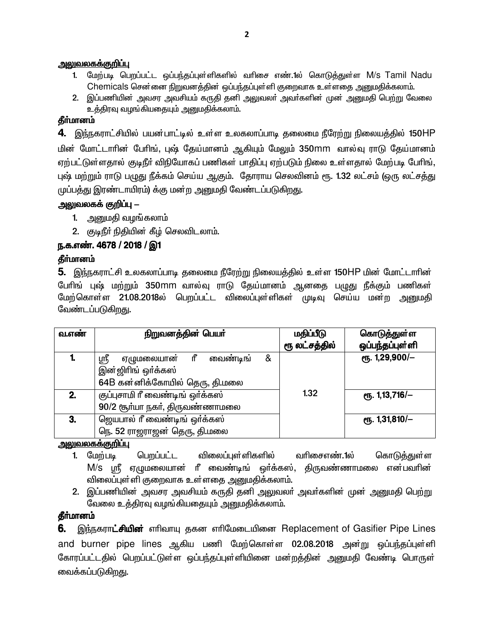#### <u>அலுவலகக்குறிப்பு</u>

- 1. மேற்படி பெறப்பட்ட ஒப்பந்தப்புள்ளிகளில் வரிசை எண்.1ல் கொடுத்துள்ள M/s Tamil Nadu Chemicals சென்னை நிறுவனத்தின் ஒப்பந்தப்புள்ளி குறைவாக உள்ளதை அனுமதிக்கலாம்.
- 2. இப்பணியின் அவசர அவசியம் கருதி தனி அலுவலா் அவா்களின் முன் அனுமதி பெற்று வேலை உத்திரவு வழங்கியதையும் அனுமதிக்கலாம்.

#### தீர்மானம்

4. இந்நகராட்சியில் பயன்பாட்டில் உள்ள உலகலாப்பாடி தலைமை நீரேற்று நிலையத்தில் 150HP <u>மின் மோட்டாரின் பேரிங், புஷ் தேய்மானம் ஆகியும் மேலும் 350mm வால்வு ராடு தேய்மானம்</u> ஏற்பட்டுள்ளதால் குடிநீர் விநியோகப் பணிகள் பாதிப்பு ஏற்படும் நிலை உள்ளதால் மேற்படி பேரிங், புஷ் மற்றும் ராடு பழுது நீக்கம் செய்ய ஆகும். தோராய செலவினம் ரூ. 1.32 லட்சம் (ஒரு லட்சத்து முப்பத்து இரண்டாயிரம்) க்கு மன்ற அனுமதி வேண்டப்படுகிறது.

### <u>அலுவலகக் குறிப்பு – </u>

- 1. அனுமதி வழங்கலாம்
- 2. குடிநீா் நிதியின் கீழ் செலவிடலாம்.

## ந.க.எண். 4678 / 2018 / இ1

### **தீர்மானம்**

5. இந்நகராட்சி உலகலாப்பாடி தலைமை நீரேற்று நிலையத்தில் உள்ள 150HP மின் மோட்டாரின் பேரிங் புஷ் மற்றும் 350mm வால்வு ராடு தேய்மானம் ஆனதை பழுது நீக்கும் பணிகள் மேற்கொள்ள 21.08.2018ல் பெறப்பட்ட விலைப்புள்ளிகள் முடிவு செய்ய மன்ற <u>அனு</u>மதி வேண்டப்படுகிறது.

| வ.எண் | நிறுவனத்தின் பெயர்                       | மதிப்பீடு     | கொடுத்துள்ள       |
|-------|------------------------------------------|---------------|-------------------|
|       |                                          | ரூ லட்சத்தில் | ஒப்பந்தப்புள்ளி   |
|       | வைண்டிங்<br>ரீ<br>&<br>ஸ்ரீ<br>ஏழுமலையான |               | ரூ. 1,29,900/ $-$ |
|       | இன்ஜிரிங் ஒர்க்கஸ்                       |               |                   |
|       | 64B கன்னிக்கோயில் தெரு, தி.மலை           |               |                   |
| 2.    | குப்புசாமி ரீ வைண்டிங் ஒர்க்கஸ்          | 1.32          | ரூ. 1,13,716/-    |
|       | 90/2 சூர்யா நகர், திருவண்ணாமலை           |               |                   |
| 3.    | ஜெயபால் ரீ வைண்டிங் ஒர்க்கஸ்             |               | ரூ. 1,31,810/ $-$ |
|       | நெ. 52 ராஜராஜன் தெரு, தி.மலை             |               |                   |

#### <u>அலுவலகக்குறிப்பு</u>

- 1. மேற்படி பெறப்பட்ட விலைப்புள்ளிகளில் வரிசைஎண்.1ல் கொடுத்துள்ள  $M/s$  பாீ, ஏமுமலையான் ரீ வைண்டிங் ஒர்க்கஸ், கிருவண்ணாமலை என்பவரின் விலைப்புள்ளி குறைவாக உள்ளதை அனுமதிக்கலாம்.
- 2. இப்பணியின் அவசர அவசியம் கருதி தனி அலுவலா் அவா்களின் முன் அனுமதி பெற்று வேலை உத்திரவு வழங்கியதையும் அனுமதிக்கலாம்.

## தீர்மானம்

6. இந்நகராட்சியின் எரிவாயு தகன எரிமேடையினை Replacement of Gasifier Pipe Lines and burner pipe lines ஆகிய பணி மேற்கொள்ள 02.08.2018 அன்று ஒப்பந்தப்புள்ளி கோரப்பட்டதில் பெறப்பட்டுள்ள ஒப்பந்தப்புள்ளியினை மன்றத்தின் அனுமதி வேண்டி பொருள் வைக்கப்படுகிறது.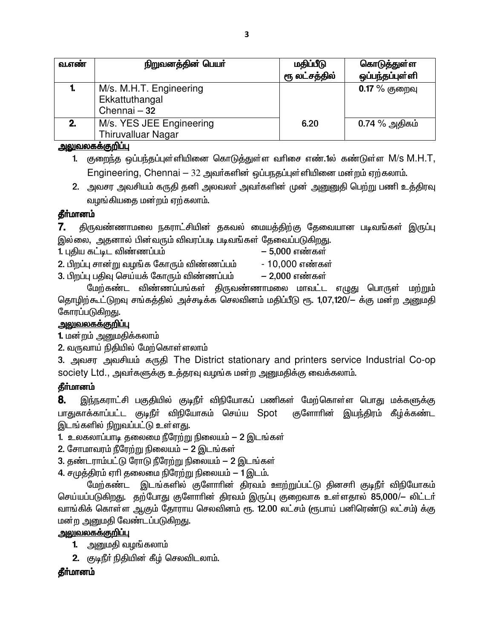| வ.எண் | நிறுவனத்தின் பெயர்                                        | மதிப்பீடு<br>ரூ லட்சத்தில் | கொடுத்துள்ள<br>ஒப்பந்தப்புள்ளி |
|-------|-----------------------------------------------------------|----------------------------|--------------------------------|
|       | M/s. M.H.T. Engineering<br>Ekkattuthangal<br>Chennai - 32 |                            | $0.17\%$ குறைவு                |
| 2.    | M/s. YES JEE Engineering<br><b>Thiruvalluar Nagar</b>     | 6.20                       | $0.74\ \%$ அதிகம்              |

### <u>அலுவலகக்குறிப்பு</u>

- 1. குறைந்த ஒப்பந்தப்புள்ளியினை கொடுத்துள்ள வரிசை எண்.1ல் கண்டுள்ள M/s M.H.T, Engineering, Chennai - 32 அவர்களின் ஒப்பநதப்புள்ளியினை மன்றம் ஏற்கலாம்.
- 2. அவசர அவசியம் கருதி தனி அலவலா் அவா்களின் முன் அனுனுதி பெற்று பணி உத்திரவு வழங்கியதை மன்றம் ஏற்கலாம்.

## கீர்மானம்

7. திருவண்ணாமலை நகராட்சியின் தகவல் மையத்திற்கு தேவையான படிவங்கள் இருப்பு இல்லை, அதனால் பின்வரும் விவரப்படி படிவங்கள் தேவைப்படுகிறது.

1. புதிய கட்டிட விண்ணப்பம்

- 5.000 எண்கள்
- 2. பிறப்பு சான்று வழங்க கோரும் விண்ணப்பம்

3. பிறப்பு பதிவு செய்யக் கோரும் விண்ணப்பம்

- 10,000 எண்கள் – 2,000 எண்கள்

மேற்கண்ட விண்ணப்பங்கள் திருவண்ணாமலை மாவட்ட எழுது பொருள் மற்றும் தொழிற்கூட்டுறவு சங்கத்தில் அச்சடிக்க செலவினம் மதிப்பீடு ரூ. 1,07,120/— க்கு மன்ற அனுமதி கோரப்படுகிறது.

## <u>அலுவலகக்குறிப்பு</u>

1. மன்றம் அனுமதிக்கலாம்

2. வருவாய் நிதியில் மேற்கொள்ளலாம்

3. அவசர அவசியம் கருதி The District stationary and printers service Industrial Co-op society Ltd., அவர்களுக்கு உத்தரவு வழங்க மன்ற அனுமதிக்கு வைக்கலாம்.

## தீர்மானம்

8. இந்நகராட்சி பகுதியில் குடிநீர் விநியோகப் பணிகள் மேற்கொள்ள பொது மக்களுக்கு பாதுகாக்காப்பட்ட குடிநீா் விநியோகம் செய்ய Spot குளோரின் இயந்திரம் கீழ்க்கண்ட இடங்களில் நிறுவப்பட்டு உள்ளது.

- 1. உலகலாப்பாடி தலைமை நீரேற்று நிலையம் 2 இடங்கள்
- 2. சோமாவரம் நீரேற்று நிலையம் 2 இடங்கள்
- 3. தண்டராம்பட்டு ரோடு நீரேற்று நிலையம் 2 இடங்கள்
- 4. சமுத்திரம் ஏரி தலைமை நிரேற்று நிலையம் 1 இடம்.

மேற்கண்ட இடங்களில் குளோரின் திரவம் ஊற்றுப்பட்டு தினசரி குடிநீா் விநியோகம் செய்யப்படுகிறது. தற்போது குளோரின் திரவம் இருப்பு குறைவாக உள்ளதால் 85,000/— லிட்டர் வாங்கிக் கொள்ள ஆகும் தோராய செலவினம் ரூ. 12.00 லட்சம் (ரூபாய் பனிரெண்டு லட்சம்) க்கு மன்ற அனுமதி வேண்டப்படுகி<u>றது</u>.

## <u>அலுவலகக்குறிப்பு</u>

- 1. அனுமதி வழங்கலாம்
- 2. குடிநீா் நிதியின் கீழ் செலவிடலாம்.

## **கீர்மானம்**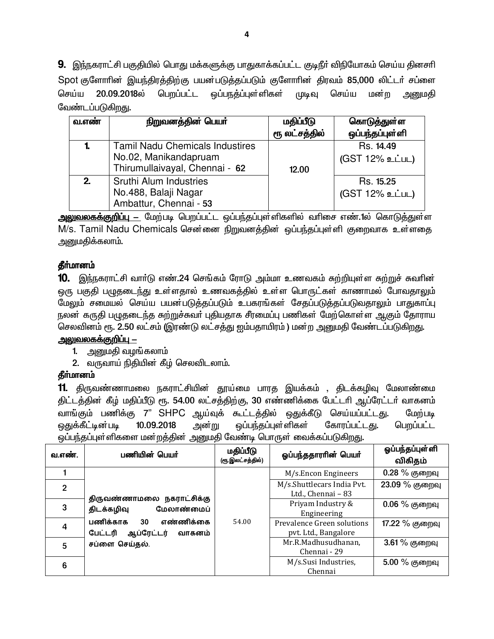9. இந்நகராட்சி பகுதியில் பொது மக்களுக்கு பாதுகாக்கப்பட்ட குடிநீா் விநியோகம் செய்ய தினசாி Spot குளோரின் இயந்திரத்திற்கு பயன்படுத்தப்படும் குளோரின் திரவம் 85,000 லிட்டர் சப்ளை செய்ய 20.09.2018ல் பெறப்பட்ட ஒப்பநத்ப்புள்ளிகள் முடிவு செய்ய மன்ற அனுமகி வேண்டப்படுகிறது.

| வ.எண் | நிறுவனத்தின் பெயர்                                                                                | மதிப்பீடு<br>ரூ லட்சத்தில் | கொடுத்துள்ள<br>ஒப்பந்தப்புள்ளி |
|-------|---------------------------------------------------------------------------------------------------|----------------------------|--------------------------------|
|       | <b>Tamil Nadu Chemicals Industires</b><br>No.02, Manikandapruam<br>Thirumullaivayal, Chennai - 62 | 12.00                      | Rs. 14.49<br>(GST 12% உட்பட)   |
| 2.    | Sruthi Alum Industries<br>No.488, Balaji Nagar<br>Ambattur, Chennai - 53                          |                            | Rs. 15.25<br>(GST 12% உட்பட)   |

<mark>அலுவலகக்குறிப்பு —</mark> மேற்படி பெறப்பட்ட ஒப்பந்தப்புள்ளிகளில் வரிசை எண்.1ல் கொடுத்துள்ள M/s. Tamil Nadu Chemicals சென்னை நிறுவனத்தின் ஒப்பந்தப்புள்ளி குறைவாக உள்ளதை அனுமகிக்கலாம்.

## தீர்மானம்

10. இந்நகராட்சி வார்டு எண்.24 செங்கம் ரோடு அம்மா உணவகம் சுற்றியுள்ள சுற்றுச் சுவரின் ஒரு பகுதி பமுதடைந்து உள்ளதால் உணவகத்தில் உள்ள பொருட்கள் காணாமல் போவதாலும் மேலும் சமையல் செய்ய பயன்படுத்தப்படும் உபகரங்கள் சேதப்படுத்தப்படுவதாலும் பாதுகாப்பு நலன் கருதி பழுதடைந்த சுற்றுச்சுவா் புதியதாக சீரமைப்பு பணிகள் மேற்கொள்ள ஆகும் தோராய செலவினம் ரூ. 2.50 லட்சம் (இரண்டு லட்சத்து ஐம்பதாயிரம் ) மன்ற அனுமதி வேண்டப்படுகிறது.

#### <u> அலுவலகக்குறிப்பு —</u>

- 1. அறைமதி வழங்கலாம்
- 2. வருவாய் நிதியின் கீழ் செலவிடலாம்.

#### தீர்மானம்

**11.** திருவண்ணாமலை நகராட்சியின் தூய்மை பாரத இயக்கம் , திடக்கழிவு மேலாண்மை திட்டத்தின் கீழ் மதிப்பீடு ரூ. 54.00 லட்சத்திற்கு, 30 எண்ணிக்கை பேட்டரி ஆப்ரேட்டர் வாகனம் வாங்கும் பணிக்கு 7" SHPC ஆய்வுக் கூட்டத்தில் ஒதுக்கீடு செய்யப்பட்டது. மேற்படி ஒதுக்கீட்டின்படி 10.09.2018 அன்று ஒப்பந்தப்புள்ளிகள் கோரப்பட்டது. பெறப்பட்ட ஒப்பந்தப்புள்ளிகளை மன்றத்தின் அனுமதி வேண்டி பொருள் வைக்கப்படுகிறது.

| வ.எண்.         | பணியின் பெயர்                                                  | மதிப்பீடு<br>(ரூ.இலட்சத்தில்) | ஓப்பந்ததாரரின் பெயர்                               | ஓப்பந்தப்புள்ளி<br>விகிதம் |
|----------------|----------------------------------------------------------------|-------------------------------|----------------------------------------------------|----------------------------|
|                |                                                                |                               | M/s.Encon Engineers                                | 0.28 % குறைவு              |
| $\overline{2}$ | திருவண்ணாமலை நகராட்சிக்கு                                      |                               | M/s.Shuttlecars India Pvt.<br>Ltd., Chennai - 83   | 23.09 % குறைவு             |
| 3              | மேலாண்மைப்<br>திடக்கழிவு                                       |                               | Priyam Industry &<br>Engineering                   | $0.06\%$ குறைவு            |
| 4              | பணிக்காக<br>எண்ணிக்கை<br>30<br>ஆப்ரேட்டர்<br>பேட்டரி<br>வாகனம் | 54.00                         | Prevalence Green solutions<br>pvt. Ltd., Bangalore | 17.22 % குறைவு             |
| 5              | சப்ளை செய்தல்.                                                 |                               | Mr.R.Madhusudhanan,<br>Chennai - 29                | 3.61% குறைவு               |
| 6              |                                                                |                               | M/s.Susi Industries,<br>Chennai                    | 5.00 % குறைவு              |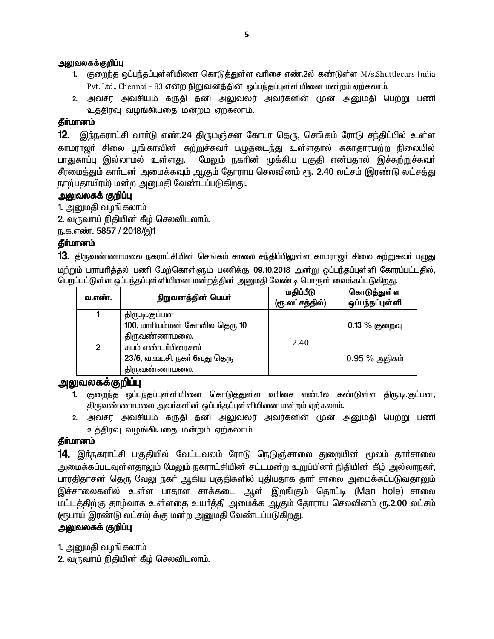#### அலுவலகக்குறிப்பு

- 1. குறைந்த ஒப்பந்தப்புள்ளியினை கொடுத்துள்ள வரிசை எண்.2ல் கண்டுள்ள M/s.Shuttlecars India Pvt. Ltd., Chennai – 83 என்ற நிறுவனத்தின் ஒப்பந்தப்புள்ளியினை மன்றம் ஏற்கலாம்.
- 2. அவசர அவசியம் கருதி தனி அலுவலர் அவர்களின் முன் அனுமதி பெற்று பணி உத்திரவு வழங்கியதை மன்றம் ஏற்கலாம்.

#### தீா்மானம்

12. இந்நகராட்சி வார்டு எண்.24 திருமஞ்சன கோபுர தெரு, செங்கம் ரோடு சந்திப்பில் உள்ள <u>காமராஜ</u>ர் சிலை பூங்காவின் சுற்றுச்சுவர் பழுதடை<u>ந்து</u> உள்ளதால் சுகாதாரமற்ற நிலையில் பாதுகாப்பு இல்லாமல் உள்ளது. மேலும் நகரின் முக்கிய பகுதி என்பதால் இச்சுற்றுச்சுவர் சீரமைத்தும் காா்டன் அமைக்கவும் ஆகும் தோராய செலவினம் ரூ. 2.40 லட்சம் (இரண்டு லட்சத்து நாற்பதாயிரம்) மன்ற அனுமதி வேண்ட**்**ப்படுகிறது.

#### அலுவலகக் குறிப்பு

1. அனுமதி வழங்கலாம்

2. வருவாய் நிதியின் கீழ் செலவிடலாம்.

ந.க.எண். 5857 / 2018/இ1

#### தீர்மானம்

13. திருவண்ணாமலை நகராட்சியின் செங்கம் சாலை சந்திப்பிலுள்ள காமராஜா் சிலை சுற்றுசுவா் பழுது மற்றும் பராமாித்தல் பணி மேற்கொள்ளும் பணிக்கு 09.10.2018 அன்று ஒப்பந்தப்புள்ளி கோரப்பட்டதில், <u>பெற</u>ப்பட்டுள்ள ஒப்பந்தப்புள்ளியினை மன்றத்தின் அனுமதி வேண்டி பொருள் வைக்கப்படுகிறது.

| வ.எண்.         | நிறுவனத்தின் பெயர்                                                   | மதிப்பீடு<br>(ரூ.லட்சத்தில்) | கொடுத்துள்ள<br>ஒப்பந்தப்புள்ளி |
|----------------|----------------------------------------------------------------------|------------------------------|--------------------------------|
|                | திரு.டி.குப்பன்<br>100, மாரியம்மன் கோவில் தெரு 10<br>திருவண்ணாமலை.   |                              | $0.13\%$ குறைவு                |
| $\mathfrak{p}$ | சுபம் எண்டா்பிரைசஸ்<br>23/6, வ.ஊ.சி. நகர் 6வது தெரு<br>திருவண்ணாமலை. | 2.40                         | $0.95%$ அதிகம்                 |

#### <u>அலுவலகக்குறிப்ப</u>

- 1. குறைந்த ஒப்பந்தப்புள்ளியினை கொடுத்துள்ள வரிசை எண்.1ல் கண்டுள்ள திரு.டி.குப்பன், திருவண்ணாமலை அவா்களின் ஒப்பந்தப்புள்ளியினை மன்றம் ஏற்கலாம்.
- 2. அவசர அவசியம் கருதி தனி அலுவலர் அவர்களின் முன் அனுமதி பெற்று பணி உத்திரவு வழங்கியதை மன்றம் ஏற்கலாம்.

#### தீர்மானம்

 $14$ . இந்நகராட்சி பகுதியில் வேட்டவலம் ரோடு நெடுஞ்சாலை துறையின் மூலம் தாா்சாலை அமைக்கப்படவுள்ளதாலும் மேலும் நகராட்சியின் சட்டமன்ற உறுப்பினர் நிதியின் கீழ் அல்லாநகர், பாரதிதாசன் தெரு வேலு நகா் ஆகிய பகுதிகளில் புதியதாக தாா் சாலை அமைக்கப்படுவதாலும் இச்சாலைகளில் உள்ள பாதாள சாக்கடை ஆள் இறங்கும் தொட்டி (Man hole) சாலை மட்டத்திற்கு தாழ்வாக உள்ளதை உயர்த்தி அமைக்க ஆகும் தோராய செலவினம் ரூ.2.00 லட்சம் (ரூபாய் இரண்டு லட்சம்) க்கு மன்ற அனுமதி வேண்டப்படுகி<u>றது</u>.

#### அலுவலகக் குறிப்பு

 $1$ . அனுமதி வழங்கலாம்

2. வருவாய் நிதியின் கீழ் செலவிடலாம்.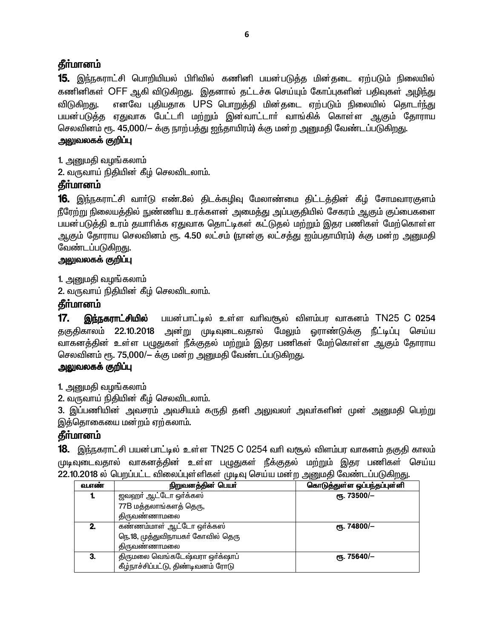## **கீர்மானம்**

15. இந்நகராட்சி பொறியியல் பிரிவில் கணினி பயன்படுத்த மின்தடை ஏற்படும் நிலையில் கணினிகள் OFF ஆகி விடுகிறது. இதனால் தட்டச்சு செய்யும் கோப்புகளின் பதிவுகள் அழிந்து எனவே புதியதாக UPS பொறுத்தி மின்தடை ஏற்படும் நிலையில் தொடர்ந்து விடுகிறது. பயன்படுத்த ஏதுவாக பேட்டரி மற்றும் இன்வாட்டாா் வாங்கிக் கொள்ள ஆகும் தோராய செலவினம் ரூ. 45,000/— க்கு நாற்பத்து ஐந்தாயிரம்) க்கு மன்ற அனுமதி வேண்டப்படுகிறது.

### <u>அலுவலகக் குறிப்பு</u>

1. அனுமதி வழங்கலாம்

2. வருவாய் நிதியின் கீழ் செலவிடலாம்.

# தீர்மானம்

**16.** இந்நகராட்சி வாா்டு எண்.8ல் திடக்கழிவு மேலாண்மை திட்டத்தின் கீழ் சோமவாரகுளம் நீரேற்று நிலையத்தில் நுண்ணிய உரக்களன் அமைத்து அப்பகுதியில் சேகரம் ஆகும் குப்பைகளை பயன்படுத்தி உரம் தயாரிக்க ஏதுவாக தொட்டிகள் கட்டுதல் மற்றும் இதர பணிகள் மேற்கொள்ள ஆகும் தோராய செலவினம் ரூ. 4.50 லட்சம் (நான்கு லட்சத்து ஐம்பதாயிரம்) க்கு மன்ற அனுமதி வேண்டப்படுகி<u>றது</u>.

### <u>அலுவலகக் குறிப்பு</u>

1. அனுமதி வழங்கலாம்

2. வருவாய் நிதியின் கீழ் செலவிடலாம்.

## தீர்மானம்

 $17.$ இந்நகராட்சியில் பயன்பாட்டில் உள்ள வரிவரூல் விளம்பர வாகனம் TN25 C 0254 தகுதிகாலம் 22.10.2018 அன்று முடிவுடைவதால் மேலும் ஒராண்டுக்கு நீட்டிப்பு செய்ய வாகனத்தின் உள்ள பழுதுகள் நீக்குதல் மற்றும் இதர பணிகள் மேற்கொள்ள ஆகும் தோராய செலவினம் ரூ. 75,000/– க்கு மன்ற அனுமதி வேண்டப்படுகிறது.

## அலுவலகக் குறிப்பு

1. அனுமதி வழங்கலாம்

2. வருவாய் நிதியின் கீழ் செலவிடலாம்.

3. இப்பணியின் அவசரம் அவசியம் கருதி தனி அலுவலா் அவா்களின் முன் அனுமதி பெற்று இத்தொகையை மன்றம் ஏற்கலாம்.

## **கீர்மானம்**

**18.** இந்நகராட்சி பயன்பாட்டில் உள்ள TN25 C 0254 வரி வசூல் விளம்பர வாகனம் தகுதி காலம் முடிவுடைவதால் வாகனத்தின் உள்ள பழுதுகள் நீக்குதல் மற்றும் இதர பணிகள் செய்ய 22.10.2018 ல் பெறப்பட்ட விலைப்புள்ளிகள் முடிவு செய்ய மன்ற அனுமதி வேண்டப்படுகிறது.

| வ.எண் | நிறுவனத்தின் பெயர்                 | கொடுத்துள்ள ஒப்பந்தப்புள்ளி |
|-------|------------------------------------|-----------------------------|
|       | ஜவஹர் ஆட்டோ ஒர்க்கஸ்               | ღђ. 73500/-                 |
|       | 77B மத்தலாங்களத் தெரு,             |                             |
|       | திருவண்ணாமலை                       |                             |
| 2.    | கண்ணம்மாள் ஆட்டோ ஒர்க்கஸ்          | ரூ. 74800/ $-$              |
|       | நெ.18, முத்துவிநாயகர் கோவில் தெரு  |                             |
|       | திருவண்ணாமலை                       |                             |
| 3.    | திருமலை வெங்கடேஷ்வரா ஒர்க்ஷாப்     | ლ. 75640/-                  |
|       | கீழ்நாச்சிப்பட்டு, திண்டிவனம் ரோடு |                             |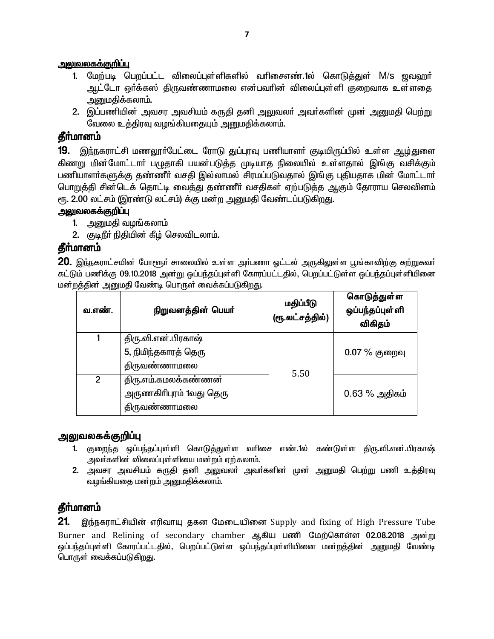#### <u>அலுவலகக்குறிப்பு</u>

- 1. மேற்படி பெறப்பட்ட விலைப்புள்ளிகளில் வரிசைஎண்.1ல் கொடுத்துள் M/s <u>ஜவ</u>ஹர் ஆட்டோ ஒர்க்கஸ் திருவண்ணாமலை என்பவரின் விலைப்புள்ளி குறைவாக உள்ளதை அனுமகிக்கலாம்.
- 2. இப்பணியின் அவசர அவசியம் கருதி தனி அலுவலா் அவா்களின் முன் அனுமதி பெற்று வேலை உத்திரவு வழங்கியதையும் அனுமதிக்கலாம்.

## தீர்மானம்

19. இந்நகராட்சி மணலூா்பேட்டை ரோடு துப்புரவு பணியாளா் குடியிருப்பில் உள்ள ஆழ்துளை கிணறு மின்மோட்டாா் பழுதாகி பயன்படுத்த முடியாத நிலையில் உள்ளதால் இங்கு வசிக்கும் பணியாளா்களுக்கு தண்ணீா் வசதி இல்லாமல் சிரமப்படுவதால் இங்கு புதியதாக மின் மோட்டாா் பொறுத்தி சின்டெக் தொட்டி வைத்து தண்ணீர் வசதிகள் ஏற்படுத்த ஆகும் தோராய செலவினம் ரூ. 2.00 லட்சம் (இரண்டு லட்சம்) க்கு மன்ற அனுமதி வேண்டப்படுகிறது.

#### <u>அலுவலகக்குறிப்பு</u>

- 1. அனுமதி வழங்கலாம்
- 2. குடிநீர் நிதியின் கீழ் செலவிடலாம்.

### தீர்மானம்

20. இந்நகராட்சயின் போளூர் சாலையில் உள்ள அர்பணா ஓட்டல் அருகிலுள்ள பூங்காவிற்கு சுற்றுகவர் கட்டும் பணிக்கு 09.10.2018 அன்று ஒப்பந்தப்புள்ளி கோரப்பட்டதில், பெறப்பட்டுள்ள ஒப்பந்தப்புள்ளியினை மன்றத்தின் அனுமதி வேண்டி பொருள் வைக்கப்படுகிறது.

| வ.எண்.       | நிறுவனத்தின் பெயர்      | மதிப்பீடு<br>(ரூ.லட்சத்தில்) | கொடுத்துள்ள<br>ஒப்பந்தப்புள்ளி<br>விகிதம் |
|--------------|-------------------------|------------------------------|-------------------------------------------|
|              | திரு.வி.என்.பிரகாஷ்     |                              |                                           |
|              | 5, நிமிந்தகாரத் தெரு    |                              | $0.07\%$ குறைவு                           |
|              | திருவண்ணாமலை            | 5.50                         |                                           |
| $\mathbf{2}$ | திரு.எம்.கமலக்கண்ணன்    |                              |                                           |
|              | அருணகிரிபுரம் 1வது தெரு |                              | $0.63\%$ அதிகம்                           |
|              | திருவண்ணாமலை            |                              |                                           |

#### <u>அலுவலகக்குறிப்ப</u>

- 1. குறைந்த ஒப்பந்தப்புள்ளி கொடுத்துள்ள வரிசை எண்.1ல் கண்டுள்ள திரு.வி.என்.பிரகாஷ் அவர்களின் விலைப்புள்ளியை மன்றம் ஏற்கலாம்.
- 2. அவசர அவசியம் கருதி தனி அலுவலா் அவா்களின் முன் அனுமதி பெற்று பணி உத்திரவு வழங்கியதை மன்றம் அனுமதிக்கலாம்.

## தீா்மானம்

 $21.$ இந்நகராட்சியின் எரிவாயு தகன மேடையினை Supply and fixing of High Pressure Tube Burner and Relining of secondary chamber ஆகிய பணி மேற்கொள்ள 02.08.2018 அன்று ஒப்பந்தப்புள்ளி கோரப்பட்டதில், பெறப்பட்டுள்ள ஒப்பந்தப்புள்ளியினை மன்றத்தின் அனுமதி வேண்டி பொருள் வைக்கப்படுகிறது.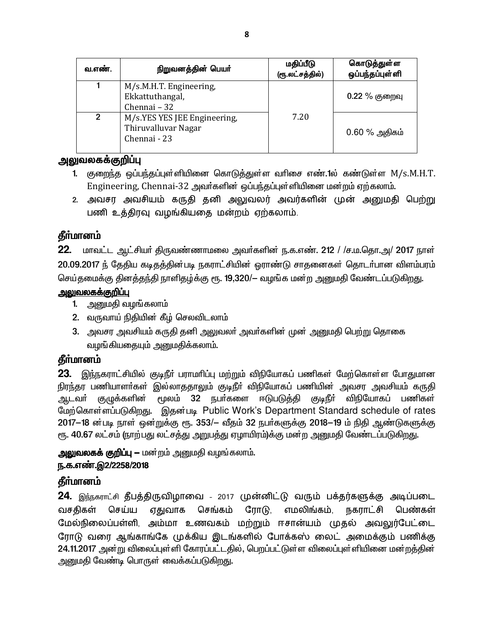| வ.எண்.         | நிறுவனத்தின் பெயர்                                                  | மதிப்பீடு<br>(ரூ.லட்சத்தில்) | கொடுத்துள்ள<br>ஒப்பந்தப்புள்ளி |
|----------------|---------------------------------------------------------------------|------------------------------|--------------------------------|
|                | M/s.M.H.T. Engineering,<br>Ekkattuthangal,<br>Chennai - 32          |                              | $0.22\ \%$ குறைவு              |
| $\mathfrak{p}$ | M/s.YES YES JEE Engineering,<br>Thiruvalluvar Nagar<br>Chennai - 23 | 7.20                         | $0.60\%$ அதிகம்                |

## அலுவலகக்குறிப்பு

- 1. குறைந்த ஒப்பந்தப்புள்ளியினை கொடுத்துள்ள வரிசை எண்.1ல் கண்டுள்ள M/s.M.H.T. Engineering, Chennai-32 அவர்களின் ஒப்பந்தப்புள்ளியினை மன்றம் ஏற்கலாம்.
- 2. அவசர அவசியம் கருதி தனி அலுவலர் அவர்களின் முன் அனுமதி பெற்று பணி உத்திரவு வழங்கியதை மன்றம் ஏற்கலாம்.

# தீர்மானம்

22. மாவட்ட ஆட்சியர் திருவண்ணாமலை அவர்களின் ந.க.எண். 212 / /ச.ம.தொ.அ/ 2017 நாள் 20.09.2017 ந் தேதிய கடிதத்தின்படி நகராட்சியின் ஒராண்டு சாதனைகள் தொடர்பான விளம்பரம் செய்தமைக்கு தினத்தந்தி நாளிதழ்க்கு ரூ. 19,320/— வழங்க மன்ற அனுமதி வேண்டப்படுகிறது.

## <u>அலுவலகக்குறிப்பு</u>

- 1. அனுமதி வழங்கலாம்
- 2. வருவாய் நிதியின் கீழ் செலவிடலாம்
- 3. அவசர அவசியம் கருதி தனி அலுவலா் அவா்களின் முன் அனுமதி பெற்று தொகை வழங்கியதையும் அனுமதிக்கலாம்.

# **கீர்மானம்**

23. இந்நகராட்சியில் குடிநீர் பராமரிப்பு மற்றும் விநியோகப் பணிகள் மேற்கொள்ள போதுமான நிரந்தர பணியாளர்கள் இல்லாததாலும் குடிநீர் விநியோகப் பணியின் அவசர அவசியம் கருதி ஆடவர் குழுக்களின் மூலம் 32 நபா்களை ஈடுபடுத்தி குடிநீா் விநியோகப் பணிகள் மேற்கொள்ளப்படுகிறது. இதன்படி Public Work's Department Standard schedule of rates 2017-18 ன்படி நாள் ஒன்றுக்கு ரூ. 353/- வீதம் 32 நபர்களுக்கு 2018-19 ம் நிதி ஆண்டுகளுக்கு ரூ. 40.67 லட்சம் (நாற்பது லட்சத்து அறுபத்து ஏழாயிரம்)க்கு மன்ற அனுமதி வேண்டப்படுகிறது.

அலுவலகக் குறிப்பு — மன்றம் அனுமதி வழங்கலாம்.

## ந.க.எண்.இ2/2258/2018

# தீர்மானம்

24. இந்நகராட்சி தீபத்திருவிழாவை - 2017 முன்னிட்டு வரும் பக்தர்களுக்கு அடிப்படை பெண்கள் வசதிகள் செய்ய ஏதுவாக செங்கம் ரோடு, எமலிங்கம். நகராட்சி மேல்நிலைப்பள்ளி, அம்மா உணவகம் மற்றும் ஈசான்யம் முதல் அவலுர்பேட்டை ரோடு வரை ஆங்காங்கே முக்கிய இடங்களில் போக்கஸ் லைட் அமைக்கும் பணிக்கு 24.11.2017 அன்று விலைப்புள்ளி கோரப்பட்டதில், பெறப்பட்டுள்ள விலைப்புள்ளியினை மன்றத்தின் அனுமதி வேண்டி பொருள் வைக்கப்படுகிறது.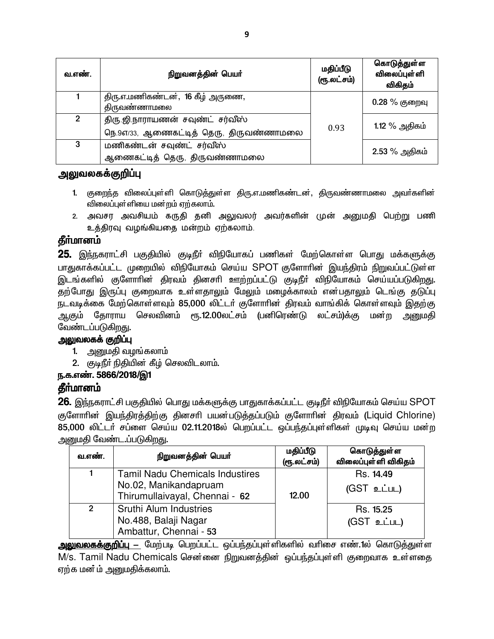| வ.எண்.         | நிறுவனத்தின் பெயர்                                                           | மதிப்பீடு<br>(ரூ.லட்சம்) | கொடுத்துள்ள<br><b>விலைப்புள்</b> ளி<br>விகிதம் |
|----------------|------------------------------------------------------------------------------|--------------------------|------------------------------------------------|
|                | திரு.எ.மணிகண்டன், 16 கீழ் அருணை,<br>திருவண்ணாமலை                             |                          | $0.28\%$ குறைவு                                |
| $\overline{2}$ | திரு.ஜி.நாராயணன் சவுண்ட் சர்வீஸ்<br>நெ. 9எ/33, ஆணைகட்டித் தெரு, திருவண்ணாமலை | 0.93                     | 1.12 % அதிகம்                                  |
| 3              | மணிகண்டன் சவுண்ட் சர்வீஸ்<br>ஆணைகட்டித் தெரு, திருவண்ணாமலை                   |                          | 2.53 % அதிகம்                                  |

#### அலுவலகக்குறிப்பு

- 1. குறைந்த விலைப்புள்ளி கொடுத்துள்ள திரு.எ.மணிகண்டன், திருவண்ணாமலை அவர்களின் விலைப்புள்ளியை மன்றம் ஏற்கலாம்.
- 2. அவசர அவசியம் கருதி தனி அலுவலர் அவர்களின் முன் அனுமதி பெற்று பணி உத்திரவு வழங்கியதை மன்றம் ஏற்கலாம்.

## **தீர்மானம்**

25. இந்நகராட்சி பகுதியில் குடிநீா் விநியோகப் பணிகள் மேற்கொள்ள பொது மக்களுக்கு பாதுகாக்கப்பட்ட முறையில் விநியோகம் செய்ய SPOT குளோரின் இயந்திரம் நிறுவப்பட்டுள்ள இடங்களில் குளோரின் திரவம் தினசரி ஊற்றப்பட்டு குடிநீர் விநியோகம் செய்யப்படுகிறது. தற்போது இருப்பு குறைவாக உள்ளதாலும் மேலும் மழைக்காலம் என்பதாலும் டெங்கு தடுப்பு நடவடிக்கை மேற்கொள்ளவும் 85,000 லிட்டர் குளோரின் திரவம் வாங்கிக் கொள்ளவும் இதற்கு ஆகும் தோராய செலவினம் ரூ.12.00லட்சம் (பனிரெண்டு லட்சம்)க்கு மன்ற அனுமதி வேண்டப்படுகிறது.

### அலுவலகக் குறிப்பு

- 1. அறைமதி வழங்கலாம்
- 2. குடிநீர் நிதியின் கீழ் செலவிடலாம்.

#### ந.க.எண். 5866/2018/இ1

#### தீா்மானம்

**26.** இந்நகராட்சி பகுதியில் பொது மக்களுக்கு பாதுகாக்கப்பட்ட குடிநீா் விநியோகம் செய்ய SPOT குளோரின் இயந்திரத்திற்கு தினசரி பயன்படுத்தப்படும் குளோரின் திரவம் (Liquid Chlorine) 85,000 லிட்டர் சப்ளை செய்ய 02.11.2018ல் பெறப்பட்ட ஒப்பந்தப்புள்ளிகள் முடிவு செய்ய மன்ற அனுமதி வேண்ட.ப்படுகிறது.

| வ.எண்.         | நிறுவனத்தின் பெயர்                                                                                | மதிப்பீடு<br>(ரூ.லட்சம்) | கொடுத்துள்ள<br>விலைப்புள்ளி விகிதம் |
|----------------|---------------------------------------------------------------------------------------------------|--------------------------|-------------------------------------|
|                | <b>Tamil Nadu Chemicals Industires</b><br>No.02, Manikandapruam<br>Thirumullaivayal, Chennai - 62 | 12.00                    | Rs. 14.49<br>$(GST$ உட்பட)          |
| $\overline{2}$ | Sruthi Alum Industries<br>No.488, Balaji Nagar<br>Ambattur, Chennai - 53                          |                          | Rs. 15.25<br>(GST உட்பட)            |

அலுவலகக்குறிப்பு — மேற்படி பெறப்பட்ட ஒப்பந்தப்புள்ளிகளில் வரிசை எண்.1ல் கொடுத்துள்ள M/s. Tamil Nadu Chemicals சென்னை நிறுவனத்தின் ஒப்பந்தப்புள்ளி குறைவாக உள்ளதை ஏற்க மன ம் அனுமகிக்கலாம்.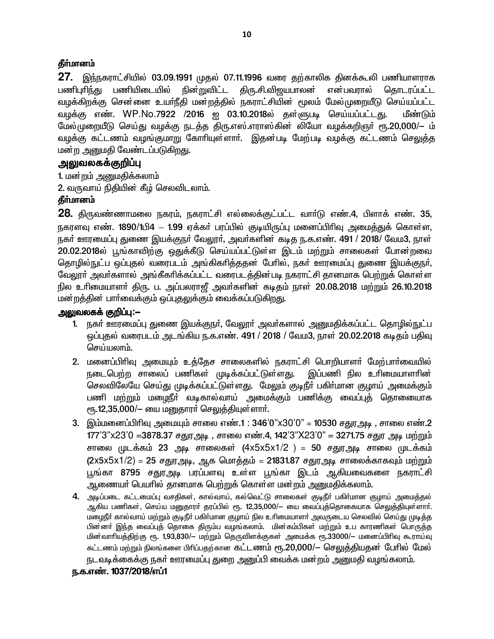#### தீர்மானம்

27. இந்நகராட்சியில் 03.09.1991 முதல் 07.11.1996 வரை தற்காலிக தினக்கூலி பணியாளராக நின்றுவிட்ட என்பவாால் பணிபரிந்து பணியிடையில் திரு.சி.விஜயபாலன் கொடாப்பட்ட வழக்கிறக்கு சென்னை உயாநீதி மன்றத்தில் நகராட்சியின் மூலம் மேல்முறையீடு செய்யப்பட்ட வழக்கு எண். WP.No.7922 /2016 ஐ 03.10.2018ல் தள்ளுபடி செய்யப்பட்டது. மீண்டும் மேல்முறையீடு செய்து வழக்கு நடத்த திரு.எஸ்.எராஸ்கின் லியோ வழக்கறிஞர் ரூ.20,000/— ம் வழக்கு கட்டணம் வழங்குமாறு கோரியுள்ளாா். இதன்படி மேற்படி வழக்கு கட்டணம் செலுத்த மன்ற அனுமதி வேண்டப்படுகிறது.

#### அலுவலகக்குறிப்பு

1. மன்றம் அனுமதிக்கலாம்

2. வருவாய் நிதியின் கீழ் செலவிடலாம்.

#### தீர்மானம்

28. திருவண்ணாமலை நகரம், நகராட்சி எல்லைக்குட்பட்ட வார்டு எண்.4, பிளாக் எண். 35, நகரளவு எண். 1890/1பி4 – 1.99 ஏக்கர் பரப்பில் குடியிருப்பு மனைப்பிரிவு அமைத்துக் கொள்ள, நகர் ஊரமைப்பு துணை இயக்குநர் வேலூர், அவர்களின் கடித ந.க.எண். 491 / 2018/ வேம3, நாள் 20.02.2018ல் பூங்காவிற்கு ஒதுக்கீடு செய்யப்பட்டுள்ள இடம் மற்றும் சாலைகள் போன்றவை தொழில்நுட்ப ஒப்புதல் வரைபடம் அங்கிகரித்ததன் பேரில், நகர் ஊரமைப்பு துணை இயக்குநர், வேலூர் அவர்களால் அங்கீகரிக்கப்பட்ட வரைபடத்தின்படி நகராட்சி தானமாக பெற்றுக் கொள்ள நில உரிமையாளா் திரு. ப. அப்பலராஜீ அவா்களின் கடிதம் நாள் 20.08.2018 மற்றும் 26.10.2018 மன்றத்தின் பார்வைக்கும் ஒப்புதலுக்கும் வைக்கப்படுகி<u>றத</u>ு.

#### அலுவலகக் குறிப்ப:—

- 1. நகர் ஊரமைப்பு துணை இயக்குநர், வேலூர் அவர்களால் அனுமதிக்கப்பட்ட தொழில்நுட்ப ஒப்புதல் வரைபடம் அடங்கிய ந.க.எண். 491 / 2018 / வேம3, நாள் 20.02.2018 கடிதம் பதிவு செய்யலாம்.
- 2. மனைப்பிரிவு அமையும் உத்தேச சாலைகளில் நகராட்சி பொறியாளா் மேற்பாா்வையில் நடைபெற்ற சாலைப் பணிகள் முடிக்கப்பட்டுள்ளது. இப்பணி நில உரிமையாளரின் செலவிலேயே செய்து முடிக்கப்பட்டுள்ளது. மேலும் குடிநீா் பகிா்மான குழாய் அமைக்கும் பணி மற்றும் மழைநீா் வடிகால்வாய் அமைக்கும் பணிக்கு வைப்புக் தொணையாக ரூ.12,35,000/- யை மனுதாரா் செலுத்தியுள்ளாா்.
- 3. இம்மனைப்பிரிவு அமையும் சாலை எண்.1 : 346'0"x30'0" = 10530 சதுரஅடி , சாலை எண்.2 177'3"x23'0 =3878.37 சதுரஅடி , சாலை எண்.4, 142'3"X23'0" = 3271.75 சதுர அடி மற்றும் சாலை முடக்கம் 23 அடி சாலைகள் (4x5x5x1/2 ) = 50 சதுரஅடி சாலை முடக்கம்  $(2 \times 5 \times 5 \times 1/2) = 25$  சதுரஅடி, ஆக மொத்தம் = 21831.87 சதுரஅடி சாலைக்காகவும் மற்றும் பூங்கா 8795 சதுரஅடி பரப்பளவு உள்ள பூங்கா இடம் ஆகியவைகளை நகராட்சி ஆணையா் பெயாில் தானமாக பெற்றுக் கொள்ள மன்றம் அனுமதிக்கலாம்.
- 4. அடிப்படை கட்டமைப்பு வசகிகள். கால்வாய். கல்வெட்டு சாலைகள் குடிநீர் பகிர்மான குமாய் அமைக்கல் ...<br>ஆகிய பணிகள். செய்ய மனுதாரா் தரப்பில் ரூ. 12,35,000/— யை வைப்புத்தொகையாக செலுத்தியுள்ளாா். மழைநீா் கால்வாய் மற்றும் குடிநீா் பகிா்மான குழாய் நில உாிமையாளா் அவருடைய செலவில் செய்து முடித்த பின்னா் இந்த வைப்புத் தொகை திரும்ப வழங்கலாம். மின்கம்பிகள் மற்றும் உப காரணிகள் பொருத்த மின்வாரியத்திற்கு ரூ. 1,93,830/— மற்றும் தெருவிளக்குகள் அமைக்க ரூ.33000/— மனைப்பிரிவு கூராய்வு கட்டணம் மற்றும் நிலங்களை பிரிப்பதற்கான கட்டணம் ரூ.20,000/— செலுத்தியதன் பேரில் மேல் நடவடிக்கைக்கு நகர் ஊரமைப்பு துறை அனுப்பி வைக்க மன்றம் அனுமதி வழங்கலாம்.

#### ந.க.எண். 1037/2018/எப்1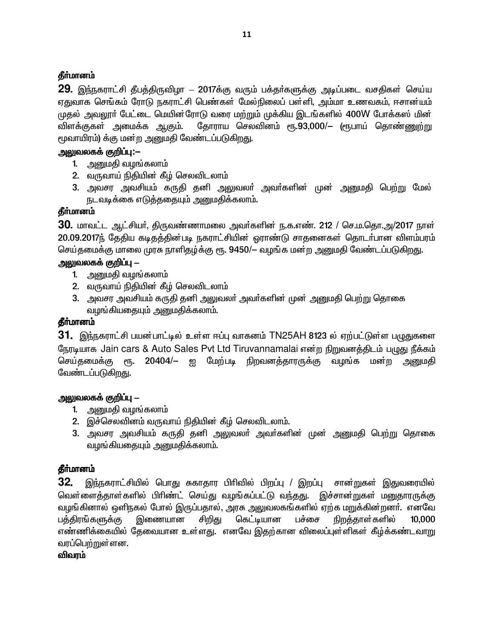#### தீா்மானம்

29. இந்நகராட்சி தீபத்திருவிழா – 2017க்கு வரும் பக்தா்களுக்கு அடிப்படை வசதிகள் செய்ய ஏதுவாக செங்கம் ரோடு நகராட்சி பெண்கள் மேல்நிலைப் பள்ளி, அம்மா உணவகம், ஈசான்யம் முதல் அவலூர் பேட்டை மெயின்ரோடு வரை மற்றும் முக்கிய இடங்களில் 400W போக்கஸ் மின் விளக்குகள் அமைக்க ஆகும். தோராய செலவினம் ரூ.93,000/— (ரூபாய் தொண்ணுற்று மூவாயிரம்) க்கு மன்ற அனுமதி வேண்டப்படுகிறது.

#### அலுவலகக் குறிப்பு:**-**-

- 1. அனுமதி வழங்கலாம்
- 2. வருவாய் நிதியின் கீழ் செலவிடலாம்
- 3. அவசர அவசியம் கருதி தனி அலுவலா் அவா்களின் முன் அனுமதி பெற்று மேல் நடவடிக்கை எடுத்ததையும் அனுமதிக்கலாம்.

### தீர்மானம்

**30.** மாவட்ட ஆட்சியா், திருவண்ணாமலை அவா்களின் ந.க.எண். 212 / செ.ம.தொ.அ/2017 நாள் 20.09.2017ந் தேதிய கடிதத்தின்படி நகராட்சியின் ஒராண்டு சாதனைகள் தொடர்பான விளம்பரம் செய்தமைக்கு மாலை முரசு நாளிதழ்க்கு ரூ. 9450/— வழங்க மன்ற அனுமதி வேண்டப்படுகிறது.

### <u>அலுவலகக் குறிப்பு – </u>

- 1. அனுமதி வழங்கலாம்
- 2. வருவாய் நிதியின் கீழ் செலவிடலாம்
- 3. அவசர அவசியம் கருதி தனி அலுவலா் அவா்களின் முன் அனுமதி பெற்று தொகை வழங்கியதையும் அனுமதிக்கலாம்.

#### தீர்மானம்

**31.** இந்நகராட்சி பயன்பாட்டில் உள்ள ஈப்பு வாகனம் TN25AH 8123 ல் ஏற்பட்டுள்ள பழுதுகளை நேரடியாக Jain cars & Auto Sales Pvt Ltd Tiruvannamalai என்ற நிறுவனத்திடம் பழுது நீக்கம் செய்தமைக்கு ரூ. 20404/– ஐ மேற்படி நிறவனக்காரருக்கு வழங்க மன்ற <u>அனு</u>மதி வேண்டப்படுகிறது.

#### <u>அலுவலகக் குறிப்பு – </u>

- 1. அனுமதி வழங்கலாம்
- 2. இச்செலவினம் வருவாய் நிதியின் கீழ் செலவிடலாம்.
- 3. அவசர அவசியம் கருதி தனி அலுவலா் அவா்களின் முன் அனுமதி பெற்று தொகை வழங்கியதையும் அனுமதிக்கலாம்.

#### **தீர்மானம்**

**32.** இந்நகராட்சியில் பொது சுகாதார பிரிவில் பிறப்பு / இறப்பு சான்றுகள் இதுவரையில் வெள்ளைத்தாள்களில் பிரிண்ட் செய்து வழங்கப்பட்டு வந்தது. இச்சான்றுகள் மனுதாரருக்கு வழங்கினால் ஒளிநகல் போல் இருப்பதால், அரசு அலுவலகங்களில் ஏற்க மறுக்கின்றனா். எனவே பத்திரங்களுக்கு இணையான சிறிது கெட்டியான பச்சை நிறத்தாள்களில் 10,000 எண்ணிக்கையில் தேவையான உள்ளது. எனவே இதற்கான விலைப்புள்ளிகள் கீழ்க்கண்டவாறு வரப்பெற்றுள்ளன.

விவரம்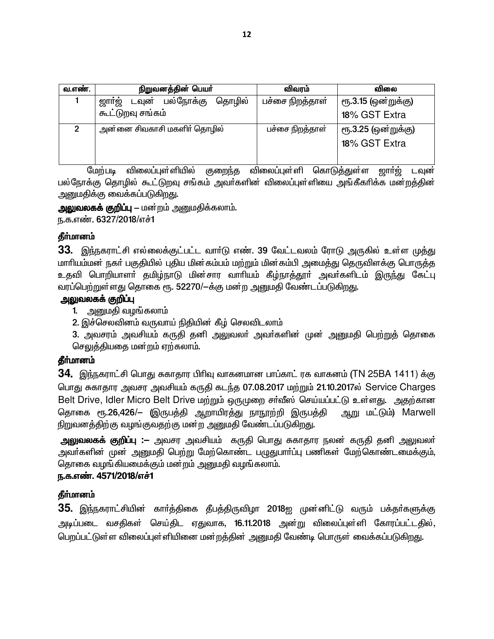| வ.எண். | நிறுவனத்தின் பெயர்                     | விவரம்          | விலை                |
|--------|----------------------------------------|-----------------|---------------------|
|        | ஜார்ஜ்<br>பல்நோக்கு<br>தொழில்<br>டவுன் | பச்சை நிறத்தாள் | ரூ.3.15 (ஒன்றுக்கு) |
|        | கூட்டுறவு சங்கம்                       |                 | 18% GST Extra       |
| 2      | அன்னை சிவகாசி மகளிா் தொழில்            | பச்சை நிறத்தாள் | ரூ.3.25 (ஒன்றுக்கு) |
|        |                                        |                 | 18% GST Extra       |
|        |                                        |                 |                     |

மேற்படி விலைப்புள்ளியில் குறைந்த விலைப்புள்ளி கொடுத்துள்ள ஜார்ஜ் டவுன் பல்நோக்கு தொழில் கூட்டுறவு சங்கம் அவர்களின் விலைப்புள்ளியை அங்கீகரிக்க மன்றத்தின் அனுமதிக்கு வைக்கப்படுகிறது.

**அலுவலகக் குறிப்பு –** மன்றம் அனுமதிக்கலாம்.

ந.க.எண். 6327/2018/எச்1

#### தீர்மானம்

33. இந்நகராட்சி எல்லைக்குட்பட்ட வார்டு எண். 39 வேட்டவலம் ரோடு அருகில் உள்ள முத்து மாரியம்மன் நகர் பகுதியில் புதிய மின்கம்பம் மற்றும் மின்கம்பி அமைத்து தெருவிளக்கு பொருத்த உதவி பொறியாளா் தமிழ்நாடு மின்சார வாாியம் கீழ்நாத்தூா் அவா்களிடம் இருந்து கேட்பு வரப்பெற்றுள்ளது தொகை ரூ. 52270/-க்கு மன்ற அனுமதி வேண்டப்படுகிறது.

#### அலுவலகக் குறிப்பு

1. அனுமதி வழங்கலாம்

2. இச்செலவினம் வருவாய் நிதியின் கீழ் செலவிடலாம்

3. அவசரம் அவசியம் கருதி தனி அலுவலா் அவா்களின் முன் அனுமதி பெற்றுத் தொகை செலுத்தியதை மன்றம் ஏற்கலாம்.

#### தீர்மானம்

34. இந்நகராட்சி பொது சுகாதார பிரிவு வாகனமான பாப்காட் ரக வாகனம் (TN 25BA 1411) க்கு பொது சுகாதார அவசர அவசியம் கருதி கடந்த 07.08.2017 மற்றும் 21.10.2017ல் Service Charges Belt Drive, Idler Micro Belt Drive மற்றும் ஒருமுறை சர்வீஸ் செய்யப்பட்டு உள்ளது. அதற்கான தொகை ரூ.26,426/— (இருபத்தி ஆறாயிரத்து நாநூற்றி இருபத்தி ஆறு மட்டும்) Marwell நிறுவனத்திற்கு வழங்குவதற்கு மன்ற அனுமதி வேண்டப்படுகிறது.

அலுவலகக் குறிப்பு :– அவசர அவசியம் கருதி பொது சுகாதார நலன் கருதி தனி அலுவலா் அவா்களின் முன் அனுமதி பெற்று மேற்கொண்ட பழுதுபாா்ப்பு பணிகள் மேற்கொண்டமைக்கும். தொகை வழங்கியமைக்கும் மன்றம் அனுமதி வழங்கலாம்.

#### ந.க.எண். 4571/2018/எச்1

#### தீர்மானம்

35. இந்நகராட்சியின் கார்த்திகை தீபத்திருவிழா 2018ஐ முன்னிட்டு வரும் பக்தர்களுக்கு அடிப்படை வசதிகள் செய்திட ஏதுவாக, 16.11.2018 அன்று விலைப்புள்ளி கோரப்பட்டதில், பெறப்பட்டுள்ள விலைப்புள்ளியினை மன்றத்தின் அனுமதி வேண்டி பொருள் வைக்கப்படுகிறது.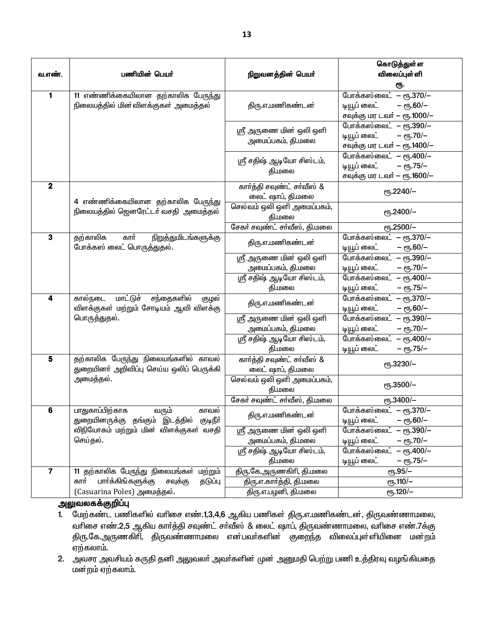| வ.எண்.         | பணியின் பெயர்                                                                        | நிறுவனத்தின் பெயர்                                  | கொடுத்துள்ள<br>விலைப்புள் ளி                                                             |
|----------------|--------------------------------------------------------------------------------------|-----------------------------------------------------|------------------------------------------------------------------------------------------|
|                |                                                                                      |                                                     | ரூ.                                                                                      |
| 1              | 11 எண்ணிக்கையிலான தற்காலிக பேருந்து<br>நிலையத்தில் மின்விளக்குகள் அமைத்தல்           | திரு.எ.மணிகண்டன்                                    | போக்கஸ்லைட் – ரூ.370/–<br>– ரூ.60/–<br>டியூப் லைட்<br>சவுக்கு மர டவர் – ரூ.1000/–        |
|                |                                                                                      | ஸ்ரீ அருணை மின் ஒலி ஒளி<br>அமைப்பகம், தி.மலை        | போக்கஸ்லைட் – ரூ.390/–<br>டியூப் லைட்<br>$-$ eg. 70/ $-$<br>சவுக்கு மர டவர் — ரூ.1400/—  |
|                |                                                                                      | ஸ்ரீ சதிஷ் ஆடியோ சிஸ்டம்,<br>தி.மலை                 | போக்கஸ்லைட் – ரூ.400/–<br>டியூப் லைட்<br>$-$ erg. 75/ $-$<br>சவுக்கு மர டவர் – ரூ.1600/– |
| $\mathbf{2}$   | 4 எண்ணிக்கையிலான தற்காலிக பேருந்து                                                   | கார்த்தி சவுண்ட் சர்வீஸ் &<br>லைட் ஷாப், தி.மலை     | ет5.2240/-                                                                               |
|                | நிலையத்தில் ஜெனரேட்டர் வசதி அமைத்தல்                                                 | செல்வம் ஒலி ஒளி அமைப்பகம்,<br>தி.மலை                | еҧ.2400/-                                                                                |
|                |                                                                                      | சேகர் சவுண்ட் சர்வீஸ், தி.மலை                       | еҧ.2500/-                                                                                |
| $\mathbf 3$    | தற்காலிக<br>கார்<br>நிறுத்துமிடங்களுக்கு<br>போக்கஸ் லைட் பொருத்துதல்.                | திரு.எ.மணிகண்டன்                                    | போக்கஸ்லைட் – ரூ.370/-<br>– ரூ.60/–<br>டியூப் லைட்                                       |
|                |                                                                                      | ஸ்ரீ அருணை மின் ஒலி ஒளி                             | போக்கஸ்லைட் – ரூ.390/–                                                                   |
|                |                                                                                      | அமைப்பகம், தி.மலை                                   | டியூப் லைட்<br>$-$ eg. 70/ $-$                                                           |
|                |                                                                                      | ஸ்ரீ சதிஷ் ஆடியோ சிஸ்டம்,                           | போக்கஸ்லைட் – ரூ.400/–                                                                   |
|                |                                                                                      | தி.மலை                                              | டியூப் லைட்<br>– ரூ.75/–                                                                 |
| 4              | மாட்டுச்<br>சந்தைகளில்<br>கால்நடை<br>குழல்<br>விளக்குகள் மற்றும் சோடியம் ஆவி விளக்கு | திரு.எ.மணிகண்டன்                                    | போக்கஸ்லைட் – ரூ.370/-<br>$-$ ரூ.60/ $-$<br>டியூப் லைட்                                  |
|                | பொருத்துதல்.                                                                         | ஸ்ரீ அருணை மின் ஒலி ஒளி<br>அமைப்பகம், தி.மலை        | போக்கஸ்லைட் – ரூ.390/–<br>$-$ eg. 70/ $-$<br>டியூப் லைட்                                 |
|                |                                                                                      | ஸ்ரீ சதிஷ் ஆடியோ சிஸ்டம்,<br>தி.மலை                 | <u>போக்கஸ்லைட்</u><br>$-$ erg. 400/-<br>– ரூ.75/–<br>டியூப் லைட்                         |
| 5              | தற்காலிக பேருந்து நிலையங்களில் காவல்<br>துறையினா் அறிவிப்பு செய்ய ஒலிப் பெருக்கி     | கார்த்தி சவுண்ட் சர்வீஸ் &<br>லைட் ஷாப், தி.மலை     | ет5.3230/-                                                                               |
|                | அமைத்தல்.                                                                            | செல்வம் ஒலி ஒளி அமைப்பகம்,<br>தி.மலை                | еҧ.3500/-                                                                                |
|                |                                                                                      | சேகர் சவுண்ட் சர்வீஸ், தி.மலை                       | еҧ.3400/-                                                                                |
| $\bf 6$        | பாதுகாப்பிற்காக<br>வரும்<br>காவல<br>துறையினருக்கு தங்கும் இடத்தில் குடிநீா்          | திரு.எ.மணிகண்டன்                                    | போக்கஸ்லைட் – ரூ.370/–<br>டியூப் லைட்<br>– ரூ.60/–                                       |
|                | விநியோகம் மற்றும் மின் விளக்குகள் வசதி<br>செய்தல்.                                   | ஸ்ரீ அருணை <b>மின் ஒலி ஒளி</b><br>அமைப்பகம், தி.மலை | போக்கஸ்லைட்<br>– ரூ.390/–<br>– ரூ.70/–<br>டியூப் லைட்                                    |
|                |                                                                                      | ஸ்ரீ சதிஷ் ஆடியோ சிஸ்டம்,<br>தி.மலை                 | போக்கஸ்லைட்<br>$-$ erg. $400/-$<br>டியூப் லைட்<br>– ரூ.75/–                              |
| $\overline{7}$ | 11 தற்காலிக பேருந்து நிலையங்கள் மற்றும்                                              | திரு.கே.அருணகிரி, தி.மலை                            | <b>е</b> ђ.95/-                                                                          |
|                | பார்க்கிங்களுக்கு<br>கார்<br>தடுப்பு<br>சவுக்கு                                      | திரு.எ.கார்த்தி, தி.மலை                             | ரூ.110/                                                                                  |
|                | (Casuarina Poles) அமைத்தல்.                                                          | திரு.எ.பழனி, தி.மலை                                 | $e$ <sup>120/-</sup>                                                                     |

<mark>அலுவலகக்குறிப்பு</mark>

- 1. மேற்கண்ட பணிகளில் வரிசை எண்.1,3,4,6 ஆகிய பணிகள் திரு.எ.மணிகண்டன், திருவண்ணாமலை, வரிசை எண்.2,5 ஆகிய கார்த்தி சவுண்ட் சர்வீஸ் & லைட் ஷாப், திருவண்ணாமலை, வரிசை எண்.7க்கு ்திரு.கே.அருணகிாி, திருவண்ணாமலை என்பவா்களின் குறைந்த விலைப்புள்ளியினை மன்றம் ஏற்கலாம்.
- 2. அவசர அவசியம் கருதி தனி அலுவலா் அவா்களின் முன் அனுமதி பெற்று பணி உத்திரவு வழங்கியதை மன்றம் ஏற்கலாம்.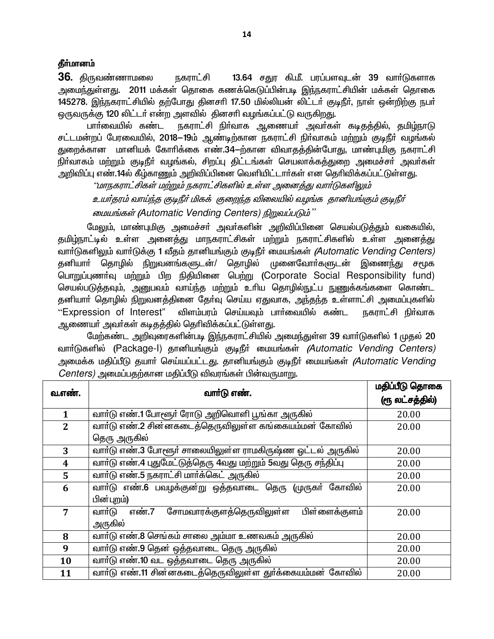#### தீர்மானம்

36. திருவண்ணாமலை **நகாாட்சி** 13.64 சதுர கி.மீ. பரப்பளவுடன் 39 வார்டுகளாக அமைந்துள்ளது. 2011 மக்கள் தொகை கணக்கெடுப்பின்படி இந்நகராட்சியின் மக்கள் தொகை 145278. இந்நகராட்சியில் தற்போது தினசரி 17.50 மில்லியன் லிட்டர் குடிநீர், நாள் ஒன்றிற்கு நபர் ஒருவருக்கு 120 லிட்டர் என்ற அளவில் தினசரி வழங்கப்பட்டு வருகிறது.

பாா்வையில் கண்ட நகராட்சி நிா்வாக அணையா் அவா்கள் கடிதத்தில், தமிழ்நாடு சட்டமன்றப் பேரவையில், 2018–19ம் ஆண்டிற்கான நகராட்சி நிர்வாகம் மற்றும் குடிநீர் வழங்கல் துறைக்கான மானியக் கோரிக்கை எண்.34-ற்கான விவாதத்தின்போது, மாண்புமிகு நகராட்சி நிா்வாகம் மற்றும் குடிநீா் வழங்கல், சிறப்பு திட்டங்கள் செயலாக்கத்துறை அமைச்சா் அவா்கள் அறிவிப்பு எண்.14ல் கீழ்காணும் அறிவிப்பினை வெளியிட்டார்கள் என தெரிவிக்கப்பட்டுள்ளது.

''மாநகராட்சிகள் மற்றும் நகராட்சிகளில் உள்ள அனைத்து வார்டுகளிலும்

உயர்தரம் வாய்ந்த குடிநீர் மிகக் குறைந்த விலையில் வழங்க தானியங்கும் குடிநீர் மையங்கள் (Automatic Vending Centers) நிறுவப்படும்"

மேலும், மாண்புமிகு அமைச்சா் அவா்களின் அறிவிப்பினை செயல்படுத்<u>க</u>ும் வகையில். தமிழ்நாட்டில் உள்ள அனைத்து மாநகராட்சிகள் மற்றும் நகராட்சிகளில் உள்ள அனைத்து வார்டுகளிலும் வார்டுக்கு 1 வீதம் தானியங்கும் குடிநீர் மையங்கள் *(Automatic Vending Centers)* தனியாா் தொழில் நிறுவனங்களுடன்/ தொழில் முனைவோா்களுடன் இணைந்து சமூக பொறுப்புணர்வு மற்றும் பிற நிதியினை பெற்று (Corporate Social Responsibility fund) செயல்படுத்தவும், அனுபவம் வாய்ந்த மற்றும் உரிய தொழில்நுட்ப நுணுக்கங்களை கொண்ட தனியாா் தொழில் நிறுவனத்தினை தோ்வு செய்ய ஏதுவாக, அந்தந்த உள்ளாட்சி அமைப்புகளில் "Expression of Interest" விளம்பரம் செய்யவும் பார்வையில் கண்ட நகராட்சி நிர்வாக ஆணையா் அவா்கள் கடிதத்தில் தெரிவிக்கப்பட்டுள்ளது.

மேற்கண்ட அறிவுரைகளின்படி இந்நகராட்சியில் அமைந்துள்ள 39 வாா்டுகளில் 1 முதல் 20 வார்டுகளில் (Package-I) தானியங்கும் குடிநீர் மையங்கள் *(Automatic Vending Centers)* அமைக்க மதிப்பீடு தயாா் செய்யப்பட்டது. தானியங்கும் குடிநீா் மையங்கள் *(Automatic Vending*  $Centers$ ) அமைப்பகற்கான மகிப்பீடு விவரங்கள் பின்வருமாறு.

| வ.எண்.         |                                                                | மதிப்பீடு தொகை  |
|----------------|----------------------------------------------------------------|-----------------|
|                | வார்டு எண்.                                                    | (ரூ லட்சத்தில்) |
| $\mathbf{1}$   | வாா்டு எண்.1 போளூா் ரோடு அறிவொளி பூங்கா அருகில்                | 20.00           |
| $\overline{2}$ | வாா்டு எண்.2 சின்னகடைத்தெருவிலுள்ள கங்கையம்மன் கோவில்          | 20.00           |
|                | தெரு அருகில்                                                   |                 |
| 3              | வார்டு எண்.3 போளூர் சாலையிலுள்ள ராமகிருஷ்ண ஓட்டல் அருகில்      | 20.00           |
| 4              | வாா்டு எண்.4 புதுமேட்டுத்தெரு 4வது மற்றும் 5வது தெரு சந்திப்பு | 20.00           |
| 5              | வார்டு எண்.5 நகராட்சி மார்க்கெட் அருகில்                       | 20.00           |
| 6              | வாா்டு எண்.6 பவழக்குன்று ஒத்தவாடை தெரு (முருகா் கோவில்         | 20.00           |
|                | பின்புறம்)                                                     |                 |
| 7              | சோமவாரக்குளத்தெருவிலுள்ள<br>பிள்ளைக்குளம்<br>எண்.7<br>வார்டு   | 20.00           |
|                | அருகில்                                                        |                 |
| 8              | வாா்டு எண்.8 செங்கம் சாலை அம்மா உணவகம் அருகில்                 | 20.00           |
| 9              | வாா்டு எண்.9 தென் ஒத்தவாடை தெரு அருகில்                        | 20.00           |
| 10             | வார்டு எண்.10 வட ஒத்தவாடை தெரு அருகில்                         | 20.00           |
| 11             | வார்டு எண்.11 சின்னகடைத்தெருவிலுள்ள துர்க்கையம்மன் கோவில்      | 20.00           |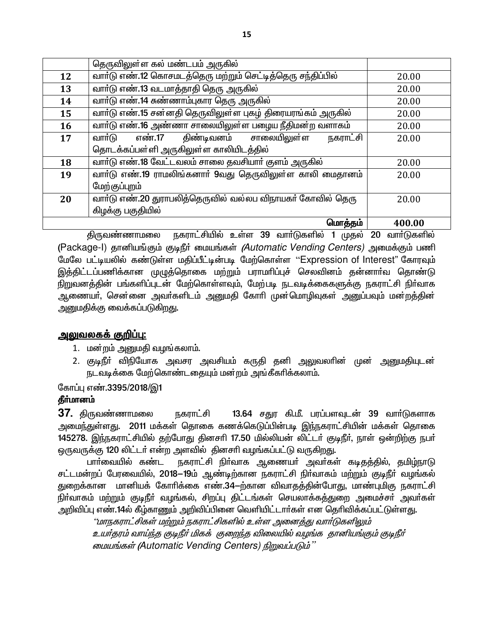|    | தெருவிலுள்ள கல் மண்டபம் அருகில்                            |        |  |
|----|------------------------------------------------------------|--------|--|
| 12 | வாா்டு எண்.12 கொசமடத்தெரு மற்றும் செட்டித்தெரு சந்திப்பில் | 20.00  |  |
| 13 | வாா்டு எண்.13 வடமாத்தாதி தெரு அருகில்                      | 20.00  |  |
| 14 | வாா்டு எண்.14 சுண்ணாம்புகார தெரு அருகில்                   | 20.00  |  |
| 15 | வாா்டு எண்.15 சன்னதி தெருவிலுள்ள புகழ் திரையரங்கம் அருகில் | 20.00  |  |
| 16 | வாா்டு எண்.16 அண்ணா சாலையிலுள்ள பழைய நீதிமன்ற வளாகம்       | 20.00  |  |
| 17 | எண்.17<br>திண்டிவனம் சாலையிலுள்ள<br>நகராட்சி<br>வாா்டு     | 20.00  |  |
|    | தொடக்கப்பள்ளி அருகிலுள்ள காலியிடத்தில்                     |        |  |
| 18 | வார்டு எண்.18 வேட்டவலம் சாலை தவசியார் குளம் அருகில்        | 20.00  |  |
| 19 | வாா்டு எண்.19 ராமலிங்கனாா் 9வது தெருவிலுள்ள காலி மைதானம்   | 20.00  |  |
|    | மேற்குப்புறம்                                              |        |  |
| 20 | வார்டு எண்.20 துராபலித்தெருவில் வல்லப விநாயகர் கோவில் தெரு | 20.00  |  |
|    | கிழக்கு பகுதியில்                                          |        |  |
|    | மொத்தம்                                                    | 400.00 |  |

நகராட்சியில் உள்ள 39 வாா்டுகளில் 1 முதல் 20 வாா்டுகளில் திருவண்ணாமலை (Package-I) தானியங்கும் குடிநீர் மையங்கள் *(Automatic Vending Centers)* அமைக்கும் பணி மேலே பட்டியலில் கண்டுள்ள மதிப்பீட்டின்படி மேற்கொள்ள ''Expression of Interest" கோரவும் இத்திட்டப்பணிக்கான முழுத்தொகை மற்றும் பராமரிப்புச் செலவினம் தன்னார்வ தொண்டு நிறுவனத்தின் பங்களிப்புடன் மேற்கொள்ளவும், மேற்படி நடவடிக்கைகளுக்கு நகராட்சி நிர்வாக ஆணையா், சென்னை அவா்களிடம் அனுமதி கோாி முன்மொழிவுகள் அனுப்பவும் மன்றத்தின் அனுமதிக்கு வைக்கப்படுகிறது.

#### <u> அலுவலகக் குறிப்பு:</u>

- 1. மன்றம் அனுமதி வழங்கலாம்.
- 2. குடிநீா் விநியோக அவசர அவசியம் கருதி தனி அலுவலாின் முன் அனுமதியுடன் நடவடிக்கை மேற்கொண்டதையும் மன்றம் அங்கீகரிக்கலாம்.

#### கோப்பு எண்.3395/2018/இ1

#### தீர்மானம்

 $37$ . திருவண்ணாமலை நகாாட்சி 13.64 சதுர கி.மீ. பரப்பளவுடன் 39 வார்டுகளாக அமைந்துள்ளது. 2011 மக்கள் தொகை கணக்கெடுப்பின்படி இந்நகராட்சியின் மக்கள் கொகை 145278. இந்நகராட்சியில் தற்போது தினசரி 17.50 மில்லியன் லிட்டர் குடிநீர், நாள் ஒன்றிற்கு நபர் ஒருவருக்கு 120 லிட்டர் என்ற அளவில் தினசரி வழங்கப்பட்டு வருகிறது.

பாா்வையில் கண்ட நகராட்சி நிர்வாக ஆணையர் அவர்கள் கடிதத்தில், தமிழ்நாடு சட்டமன்றப் பேரவையில், 2018—19ம் ஆண்டிற்கான நகராட்சி நிர்வாகம் மற்றும் குடிநீர் வழங்கல் துறைக்கான மானியக் கோரிக்கை எண்.34-ற்கான விவாதத்தின்போது, மாண்புமிகு நகராட்சி நிா்வாகம் மற்றும் குடிநீா் வழங்கல், சிறப்பு திட்டங்கள் செயலாக்கத்துறை அமைச்சா் அவா்கள் அறிவிப்பு எண்.14ல் கீழ்காணும் அறிவிப்பினை வெளியிட்டார்கள் என தெரிவிக்கப்பட்டுள்ளது.

''மாநகராட்சிகள் மற்றும் நகராட்சிகளில் உள்ள அனைத்து வார்டுகளிலும் உயர்தரம் வாய்ந்த குடிநீர் மிகக் குறைந்த விலையில் வழங்க தானியங்கும் குடிநீர் மையங்கள் (Automatic Vending Centers) நிறுவப்படும்"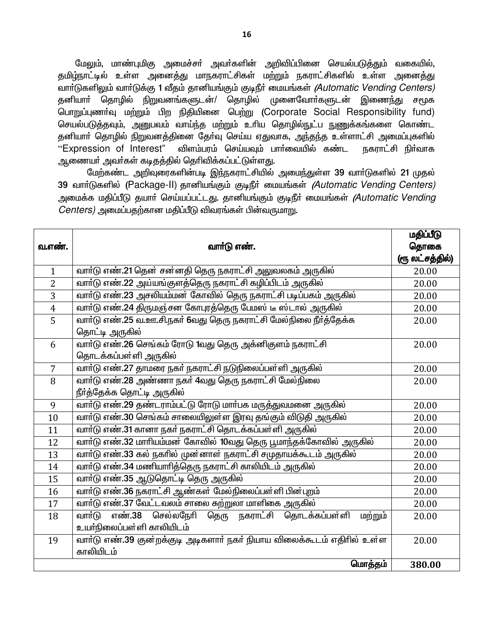மேலும், மாண்புமிகு அமைச்சா் அவா்களின் அறிவிப்பினை செயல்படுத்தும் வகையில், <u>தமிழ்நாட்டில் உள்ள அனைத்து மாநகராட்சிகள் மற்றும் நகராட்சிகளில் உள்ள அனைத்து</u> வார்டுகளிலும் வார்டுக்கு 1 வீதம் தானியங்கும் குடிநீர் மையங்கள் *(Automatic Vending Centers)* தனியாா் தொழில் நிறுவனங்களுடன்/ தொழில் முனைவோா்களுடன் இணைந்து சமூக பொறுப்புணர்வு மற்றும் பிற நிதியினை பெற்று (Corporate Social Responsibility fund) செயல்படுத்தவும், அனுபவம் வாய்ந்த மற்றும் உரிய தொழில்நுட்ப நுணுக்கங்களை கொண்ட தனியாா் தொழில் நிறுவனத்தினை தோ்வு செய்ய ஏதுவாக, அந்தந்த உள்ளாட்சி அமைப்புகளில் "Expression of Interest" விளம்பரம் செய்யவும் பார்வையில் கண்ட நகராட்சி நிர்வாக ஆணையா் அவா்கள் கடிதத்தில் தெரிவிக்கப்பட்டுள்ளது.

மேற்கண்ட அறிவுரைகளின்படி இந்நகராட்சியில் அமைந்துள்ள 39 வாா்டுகளில் 21 முதல் 39 வார்டுகளில் (Package-II) தானியங்கும் குடிநீர் மையங்கள் *(Automatic Vending Centers)* அமைக்க மதிப்பீடு தயார் செய்யப்பட்டது. தானியங்கும் குடிநீர் மையங்கள் *(Automatic Vending*  $Centers$ ) அமைப்பகற்கான மகிப்பீடு விவரங்கள் பின்வருமாறு.

|                |                                                                        | மதிப்பீடு       |
|----------------|------------------------------------------------------------------------|-----------------|
| வ.எண்.         | வார்டு எண்.                                                            | தொகை            |
|                |                                                                        | (ரூ லட்சத்தில்) |
| $\mathbf{1}$   | வாா்டு எண்.21 தென் சன்னதி தெரு நகராட்சி அலுவலகம் அருகில்               | 20.00           |
| $\overline{2}$ | வாா்டு எண்.22 அய்யங்குளத்தெரு நகராட்சி கழிப்பிடம் அருகில்              | 20.00           |
| 3              | வாா்டு எண்.23 அசலியம்மன் கோவில் தெரு நகராட்சி படிப்பகம் அருகில்        | 20.00           |
| $\overline{4}$ | வாா்டு எண்.24 திருமஞ்சன கோபுரத்தெரு பேமஸ் டீ ஸ்டால் அருகில்            | 20.00           |
| $\overline{5}$ | வாா்டு எண்.25 வ.ஊ.சி.நகா் 6வது தெரு நகராட்சி மேல்நிலை நீா்த்தேக்க      | 20.00           |
|                | தொட்டி அருகில்                                                         |                 |
| 6              | .<br>வாா்டு எண்.26 செங்கம் ரோடு 1வது தெரு அக்னிகுளம் நகராட்சி          | 20.00           |
|                | தொடக்கப்பள்ளி அருகில்                                                  |                 |
| $\overline{7}$ | வாா்டு எண்.27 தாமரை நகா் நகராட்சி நடுநிலைப்பள்ளி அருகில்               | 20.00           |
| 8              | வாா்டு எண்.28 அண்ணா நகா் 4வது தெரு நகராட்சி மேல்நிலை                   | 20.00           |
|                | நீர்த்தேக்க தொட்டி அருகில்                                             |                 |
| 9              | வாா்டு எண்.29 தண்டராம்பட்டு ரோடு மாா்பக மருத்துவமனை அருகில்            | 20.00           |
| 10             | வாா்டு எண்.30 செங்கம் சாலையிலுள்ள இரவு தங்கும் விடுதி அருகில்          | 20.00           |
| 11             | வாா்டு எண்.31 கானா நகா் நகராட்சி தொடக்கப்பள்ளி அருகில்                 | 20.00           |
| 12             | வாா்டு எண்.32 மாாியம்மன் கோவில் 10வது தெரு பூமாந்தக்கோவில் அருகில்     | 20.00           |
| 13             | வாா்டு எண்.33 கல் நகாில் முன்னாள் நகராட்சி சமுதாயக்கூடம் அருகில்       | 20.00           |
| 14             | வாா்டு எண்.34 மணியாாித்தெரு நகராட்சி காலியிடம் அருகில்                 | 20.00           |
| 15             | வாா்டு எண்.35 ஆடுதொட்டி தெரு அருகில்                                   | 20.00           |
| 16             | வாா்டு எண்.36 நகராட்சி ஆண்கள் மேல்நிலைப்பள்ளி பின்புறம்                | 20.00           |
| 17             | .<br>வாா்டு எண்.37 வேட்டவலம் சாலை சுற்றுலா மாளிகை அருகில்              | 20.00           |
| 18             | எண்.38 செல்லநேரி<br>தெரு நகராட்சி தொடக்கப்பள்ளி<br>வார்டு<br>மற்றும்   | 20.00           |
|                | உயா்நிலைப்பள்ளி காலியிடம்                                              |                 |
| 19             | வார்டு எண்.39 குன்றக்குடி அடிகளார் நகர் நியாய விலைக்கூடம் எதிரில் உள்ள | 20.00           |
|                | காலியிடம்                                                              |                 |
|                | மொத்தம்                                                                | 380.00          |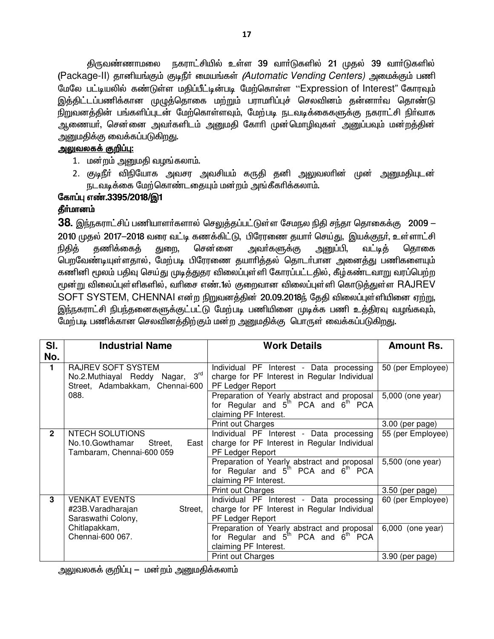திருவண்ணாமலை நகராட்சியில் உள்ள 39 வார்டுகளில் 21 முதல் 39 வார்டுகளில் (Package-II) தானியங்கும் குடிநீர் மையங்கள் *(Automatic Vending Centers)* அமைக்கும் பணி மேலே பட்டியலில் கண்டுள்ள மதிப்பீட்டின்படி மேற்கொள்ள ''Expression of Interest" கோரவும் இத்திட்டப்பணிக்கான முழுத்தொகை மற்றும் பராமரிப்புச் செலவினம் தன்னாா்வ தொண்டு நிறுவனத்தின் பங்களிப்புடன் மேற்கொள்ளவும், மேற்படி நடவடிக்கைகளுக்கு நகராட்சி நிர்வாக ஆணையா். சென்னை அவா்களிடம் அனுமதி கோாி முன்மொழிவுகள் அனுப்பவும் மன்றத்தின் அனுமதிக்கு வைக்கப்படுகிறது.

#### <u>அலுவலகக் குறிப்பு:</u>

- 1. மன்றம் அனுமதி வழங்கலாம்.
- 2. குடிநீா் விநியோக அவசர அவசியம் கருதி தனி அலுவலாின் முன் அனுமதியுடன் நடவடிக்கை மேற்கொண்டதையும் மன்றம் அங்கீகரிக்கலாம்.

#### கோப்பு எண்.3395/2018/இ1 தீர்மானம்

38. இந்நகராட்சிப் பணியாளர்களால் செலுத்தப்பட்டுள்ள சேமநல நிதி சந்தா தொகைக்கு 2009 — 2010 முதல் 2017-2018 வரை வட்டி கணக்கிட்டு, பிரேரணை தயார் செய்து, இயக்குநர், உள்ளாட்சி நிகிக் கணிக்கைக் துறை, சென்னை அவர்களுக்கு அனுப்பி, வட்டிக் கொகை பெறவேண்டியுள்ளதால், மேற்படி பிரேரணை தயாரித்தல் தொடா்பான அனைத்து பணிகளையும் கணினி மூலம் பதிவு செய்து முடித்துதர விலைப்புள்ளி கோரப்பட்டதில், கீழ்கண்டவாறு வரப்பெற்ற மூன்று விலைப்புள்ளிகளில், வரிசை எண்.1ல் குறைவான விலைப்புள்ளி கொடுத்துள்ள RAJREV SOFT SYSTEM, CHENNAI என்ற நிறுவனத்தின் 20.09.2018ந் தேதி விலைப்புள்ளியினை ஏற்று, இந்நகராட்சி நிபந்தனைகளுக்குட்பட்டு மேற்படி பணியினை முடிக்க பணி உத்திரவு வழங்கவும், மேற்படி பணிக்கான செலவினக்கிற்கும் மன்ற அனுமகிக்கு பொருள் வைக்கப்படுகிறது.

| SI.            | <b>Industrial Name</b>                                                                          | <b>Work Details</b>                                                                                                                 | <b>Amount Rs.</b> |
|----------------|-------------------------------------------------------------------------------------------------|-------------------------------------------------------------------------------------------------------------------------------------|-------------------|
| No.            |                                                                                                 |                                                                                                                                     |                   |
| $\blacksquare$ | <b>RAJREV SOFT SYSTEM</b><br>No.2.Muthiayal Reddy Nagar, 3rd<br>Street, Adambakkam, Chennai-600 | Individual PF Interest - Data processing<br>charge for PF Interest in Regular Individual<br>PF Ledger Report                        | 50 (per Employee) |
|                | 088.                                                                                            | Preparation of Yearly abstract and proposal<br>for Regular and $5^{th}$ PCA and $6^{th}$ PCA<br>claiming PF Interest.               | 5,000 (one year)  |
|                |                                                                                                 | <b>Print out Charges</b>                                                                                                            | 3.00 (per page)   |
| $\overline{2}$ | <b>NTECH SOLUTIONS</b><br>No.10.Gowthamar<br>Street,<br>East<br>Tambaram, Chennai-600 059       | Individual PF Interest - Data processing<br>charge for PF Interest in Regular Individual<br>PF Ledger Report                        | 55 (per Employee) |
|                |                                                                                                 | Preparation of Yearly abstract and proposal<br>for Regular and 5 <sup>th</sup> PCA and 6 <sup>th</sup> PCA<br>claiming PF Interest. | 5,500 (one year)  |
|                |                                                                                                 | <b>Print out Charges</b>                                                                                                            | 3.50 (per page)   |
| 3              | <b>VENKAT EVENTS</b><br>#23B.Varadharajan<br>Street,<br>Saraswathi Colony,                      | Individual PF Interest - Data processing<br>charge for PF Interest in Regular Individual<br>PF Ledger Report                        | 60 (per Employee) |
|                | Chitlapakkam,<br>Chennai-600 067.                                                               | Preparation of Yearly abstract and proposal<br>for Regular and 5 <sup>th</sup> PCA and 6 <sup>th</sup> PCA<br>claiming PF Interest. | 6,000 (one year)  |
|                |                                                                                                 | Print out Charges                                                                                                                   | 3.90 (per page)   |

அலுவலகக் குறிப்பு — மன்றம் அனுமதிக்கலாம்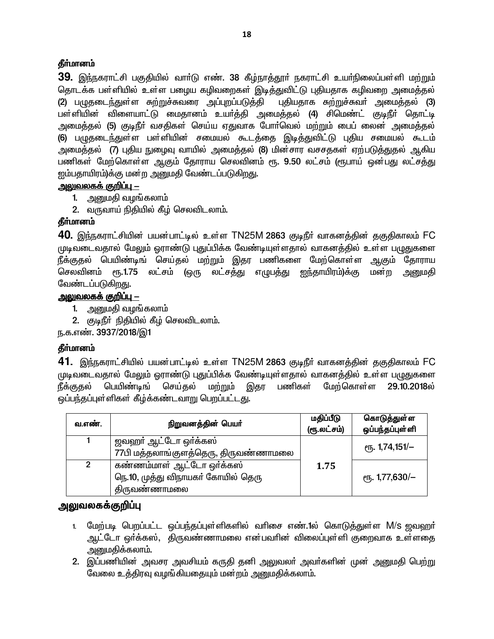### தீர்மானம்

39. இந்நகராட்சி பகுதியில் வாா்டு எண். 38 கீழ்நாத்தூா் நகராட்சி உயா்நிலைப்பள்ளி மற்றும் தொடக்க பள்ளியில் உள்ள பழைய கழிவறைகள் இடித்துவிட்டு புதியதாக கழிவறை அமைத்தல் (2) பழுதடைந்துள்ள சுற்றுச்சுவரை அப்புறப்படுத்தி புதியதாக சுற்றுச்சுவர் அமைத்தல் (3) பள்ளியின் விளையாட்டு மைதானம் உயர்த்தி அமைத்தல் (4) சிமெண்ட் குடிநீர் தொட்டி அமைத்தல் (5) குடிநீா் வசதிகள் செய்ய ஏதுவாக போா்வெல் மற்றும் பைப் லைன் அமைத்தல் (6) பழுதடைந்துள்ள பள்ளியின் சமையல் கூடத்தை இடித்துவிட்டு புதிய சமையல் கூடம் அமைத்தல் (7) புதிய நுழைவு வாயில் அமைத்தல் (8) மின்சார வசசதகள் ஏற்படுத்துதல் ஆகிய பணிகள் மேற்கொள்ள ஆகும் தோராய செலவினம் ரூ. 9.50 லட்சம் (ரூபாய் ஒன்பது லட்சத்து ஐம்பதாயிரம்)க்கு மன்ற அனுமதி வேண்டப்படுகிறது.

### <u> அலுவலகக் குறிப்பு —</u>

- 1. அனுமதி வழங்கலாம்
- 2. வருவாய் நிதியில் கீழ் செலவிடலாம்.

## தீர்மானம்

40. இந்நகராட்சியின் பயன்பாட்டில் உள்ள TN25M 2863 குடிநீர் வாகனத்தின் தகுதிகாலம் FC முடிவடைவதால் மேலும் ஓராண்டு புதுப்பிக்க வேண்டியுள்ளதால் வாகனத்தில் உள்ள பழுதுகளை நீக்குதல் பெயிண்டிங் செய்தல் மற்றும் இதர பணிகளை மேற்கொள்ள ஆகும் தோராய செலவினம் ரூ.1.75 லட்சம் (ஒரு லட்சத்து எழுபத்து ஐந்தாயிரம்)க்கு மன்ற அனுமதி வேண்டப்படுகிறது.

### <u> அலுவலகக் குறிப்ப – </u>

- 1. அனுமதி வழங்கலாம்
- 2. குடிநீர் நிதியில் கீழ் செலவிடலாம்.

ந.க.எண். 3937/2018/இ1

## தீர்மானம்

**41.** இந்நகராட்சியில் பயன்பாட்டில் உள்ள TN25M 2863 குடிநீர் வாகனத்தின் தகுதிகாலம் FC முடிவடைவதால் மேலும் ஓராண்டு புதுப்பிக்க வேண்டியுள்ளதால் வாகனத்தில் உள்ள பழுதுகளை பெயிண்டிங் செய்கல் மற்றும் இகர பணிகள் மேற்கொள்ள 29.10.2018ல் நீக்குகல் ஒப்பந்தப்புள்ளிகள் கீழ்க்கண்டவாறு பெறப்பட்டது.

| வ.எண்.         | நிறுவனத்தின் பெயர்                                                              | மதிப்பீடு<br>(ரூ.லட்சம்) | கொடுத்துள்ள<br>ஒப்பந்தப்புள்ளி |
|----------------|---------------------------------------------------------------------------------|--------------------------|--------------------------------|
|                | ஜவஹா் ஆட்டோ ஒா்க்கஸ்<br>77பி மத்தலாங்குளத்தெரு, திருவண்ணாமலை                    |                          | <sub>С</sub> п. 1,74,151/-     |
| $\overline{2}$ | கண்ணம்மாள் ஆட்டோ ஒர்க்கஸ்<br>நெ.10, முத்து விநாயகர் கோயில் தெரு<br>திருவண்ணாமலை | 1.75                     | <sub>е</sub> ҧ. 1,77,630/–     |

## அலுவலகக்குறிப்பு

- 1. மேற்படி பெறப்பட்ட ஒப்பந்தப்புள்ளிகளில் வரிசை எண்.1ல் கொடுத்துள்ள M/s ஜவஹர் ஆட்டோ ஒர்க்கஸ், திருவண்ணாமலை என்பவரின் விலைப்புள்ளி குறைவாக உள்ளதை , அனுமதிக்கலாம்.
- 2. இப்பணியின் அவசர அவசியம் கருதி தனி அலுவலா் அவா்களின் முன் அனுமதி பெற்று வேலை உத்திரவு வமங்கியதையும் மன்றம் அனுமதிக்கலாம்.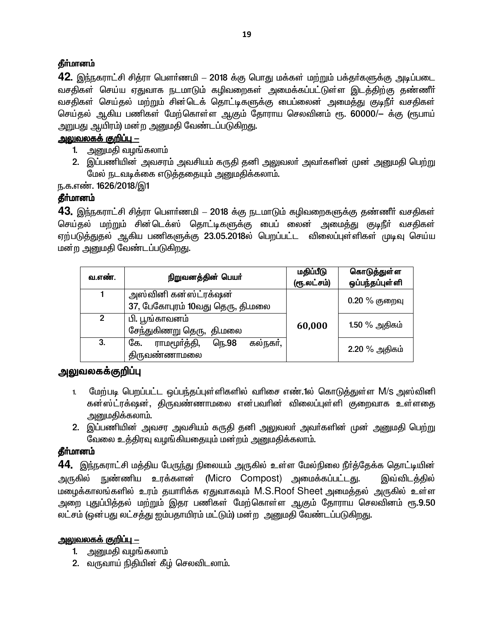### **தீர்மானம்**

**42.** இந்நகராட்சி சித்ரா பௌர்ணமி – 2018 க்கு பொது மக்கள் மற்றும் பக்தர்களுக்கு அடிப்படை வசதிகள் செய்ய ஏதுவாக நடமாடும் கழிவறைகள் அமைக்கப்பட்டுள்ள இடக்கிற்கு கண்ணீர் வசதிகள் செய்தல் மற்றும் சின்டெக் தொட்டிகளுக்கு பைப்லைன் அமைத்து குடிநீா் வசதிகள் செய்தல் ஆகிய பணிகள் மேற்கொள்ள ஆகும் தோராய செலவினம் ரூ. 60000/— க்கு (ரூபாய் அறுபது ஆயிரம்) மன்ற அனுமதி வேண்டப்படுகிறது.

### <u>அலுவலகக் குறிப்பு –</u>

- 1. அனுமதி வழங்கலாம்
- 2. இப்பணியின் அவசரம் அவசியம் கருதி தனி அலுவலா் அவா்களின் முன் அனுமதி பெற்று மேல் நடவடிக்கை எடுத்ததையும் அனுமதிக்கலாம்.

ந.க.எண். 1626/2018/இ1

## **தீர்மானம்**

43. இந்நகராட்சி சித்ரா பௌர்ணமி – 2018 க்கு நடமாடும் கழிவறைகளுக்கு தண்ணீர் வசதிகள் செய்தல் மற்றும் சின்டெக்ஸ் தொட்டிகளுக்கு பைப் லைன் அமைத்து குடிநீா் வசதிகள் ஏற்படுத்துதல் ஆகிய பணிகளுக்கு 23.05.2018ல் பெறப்பட்ட விலைப்புள்ளிகள் முடிவு செய்ய மன்ற அனுமதி வேண்டப்படுகிறது.

| வ.எண்.         | நிறுவனத்தின் பெயர்                                        | மதிப்பீடு<br>(ரூ.லட்சம்) | கொடுத்துள்ள<br>ஒப்பந்தப்புள்ளி |
|----------------|-----------------------------------------------------------|--------------------------|--------------------------------|
|                | அஸ்வினி கன்ஸ்ட்ரக்ஷன்<br>37, பேகோபுரம் 10வது தெரு, தி.மலை |                          | $0.20\%$ குறைவு                |
| $\overline{2}$ | பி. பூங்காவனம்<br>சேந்துகிணறு தெரு, தி.மலை                | 60,000                   | $1.50\%$ அதிகம்                |
| 3.             | கல்நகர்,<br>ராமமூர்த்தி,<br>நெ.98<br>கே.<br>திருவண்ணாமலை  |                          | 2.20 % அதிகம்                  |

## <u>அலு</u>வலகக்குறிப்பு

- 1. மேற்படி பெறப்பட்ட ஒப்பந்தப்புள்ளிகளில் வரிசை எண்.1ல் கொடுத்துள்ள M/s அஸ்வினி கன்ஸ்ட்ரக்ஷன், திருவண்ணாமலை என்பவரின் விலைப்புள்ளி குறைவாக உள்ளதை அனுமதிக்கலாம்.
- 2. இப்பணியின் அவசர அவசியம் கருதி தனி அலுவலா் அவா்களின் முன் அனுமதி பெற்று வேலை உத்திரவு வழங்கியதையும் மன்றம் அனுமதிக்கலாம்.

## தீர்மானம்

**44.** இந்நகராட்சி மத்திய பேருந்து நிலையம் அருகில் உள்ள மேல்நிலை நீர்த்தேக்க தொட்டியின் அருகில் நுண்ணிய உரக்களன் (Micro Compost) அமைக்கப்பட்டது. இவ்விடத்தில் மழைக்காலங்களில் உரம் தயாரிக்க ஏதுவாகவும் M.S.Roof Sheet அமைத்தல் அருகில் உள்ள <u>அறை புதுப்பித்தல் மற்றும் இதர பணிகள் மேற்கொள்ள ஆகும் தோராய செலவினம் ரூ.9.50 த</u> லட்சம் (ஒன்பது லட்சத்து ஐம்பதாயிரம் மட்டும்) மன்ற அனுமதி வேண்டப்படுகிறது.

## <u>அலுவலகக் குறிப்பு –</u>

- 1. அனுமதி வழங்கலாம்
- 2. வருவாய் நிதியின் கீழ் செலவிடலாம்.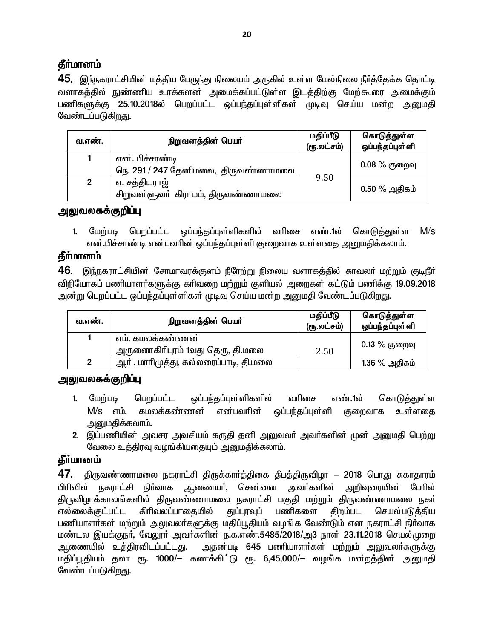# **கீர்மானம்**

45. இந்நகராட்சியின் மத்திய பேருந்து நிலையம் அருகில் உள்ள மேல்நிலை நீர்த்தேக்க தொட்டி வளாகத்தில் நுண்ணிய உரக்களன் அமைக்கப்பட்டுள்ள இடத்திற்கு மேற்கூரை அமைக்கும் பணிகளுக்கு 25.10.2018ல் பெறப்பட்ட ஒப்பந்தப்புள்ளிகள் முடிவு செய்ய மன்ற அனுமதி வேண்டப்படுகிறது.

| வ.எண்.         | நிறுவனத்தின் பெயர்                                     | மதிப்பீடு<br>(ரூ.லட்சம்) | கொடுத்துள்ள<br>ஒப்பந்தப்புள்ளி |
|----------------|--------------------------------------------------------|--------------------------|--------------------------------|
|                | என். பிச்சாண்டி<br>நெ. 291 / 247 தேனிமலை, திருவண்ணாமலை | 9.50                     | $0.08\ \%$ குறைவு              |
| $\overline{2}$ | எ. சத்தியராஜ்<br>சிறுவள்ளுவா்கிராமம், திருவண்ணாமலை     |                          | $0.50\%$ அதிகம்                |

## <u>அலுவலகக்குறிப்பு</u>

1. மேற்படி பெறப்பட்ட ஒப்பந்தப்புள்ளிகளில் வரிசை எண்.1ல்  $M/s$ கொடுக<u>்க</u>ுள்ள என்.பிச்சாண்டி என்பவரின் ஒப்பந்தப்புள்ளி குறைவாக உள்ளதை அனுமதிக்கலாம்.

# தீா்மானம்

46. இந்நகராட்சியின் சோமாவரக்குளம் நீரேற்று நிலைய வளாகத்தில் காவலா் மற்றும் குடிநீா் விநியோகப் பணியாளா்களுக்கு காிவறை மற்றும் குளியல் அறைகள் கட்டும் பணிக்கு 19.09.2018 அன்று பெறப்பட்ட ஒப்பந்தப்புள்ளிகள் முடிவு செய்ய மன்ற அனுமதி வேண்டப்படுகிறது.

| வ.எண்.         | நிறுவனத்தின் பெயர்                                   | மதிப்பீடு<br>(ரூ.லட்சம்) | கொடுத்துள்ள<br>ஒப்பந்தப்புள்ளி |
|----------------|------------------------------------------------------|--------------------------|--------------------------------|
|                | எம். கமலக்கண்ணன்<br>அருணைகிாிபுரம் 1வது தெரு, தி.மலை | 2.50                     | $0.13\ \%$ குறைவு              |
| $\overline{2}$ | ஆர் . மாரிமுத்து, கல்லரைப்பாடி, தி.மலை               |                          | $1.36\%$ அதிகம்                |

## அலுவலகக்குறிப்பு

- மேற்படி பெறப்பட்ட ஒப்பந்தப்புள்ளிகளில் வரிசை எண்.1ல் கொடுத்துள்ள  $1.$  $M/s$  எம். கமலக்கண்ணன் என்பவரின் லப்பந்தப்புள்ளி உள்ளகை குறைவாக அனுமகிக்கலாம்.
- 2. இப்பணியின் அவசர அவசியம் கருதி தனி அலுவலா் அவா்களின் முன் அனுமதி பெற்று வேலை உத்திரவு வழங்கியதையும் அனுமதிக்கலாம்.

# தீா்மானம்

47. திருவண்ணாமலை நகராட்சி திருக்கார்த்திகை தீபத்திருவிழா – 2018 பொது சுகாதாரம் பிரிவில் நகராட்சி நிா்வாக ஆணையா். சென்னை அவா்களின் அறிவுரையின் போில் திருவிழாக்காலங்களில் திருவண்ணாமலை நகராட்சி பகுதி மற்றும் திருவண்ணாமலை நகர் கிறம்பட எல்லைக்குட்பட்ட கிரிவலப்பாதையில் துப்புரவுப் பணிகளை செயல்படுக்கிய பணியாளர்கள் மற்றும் அலுவலர்களுக்கு மதிப்பூதியம் வழங்க வேண்டும் என நகராட்சி நிர்வாக மண்டல இயக்குநா், வேலூா் அவா்களின் ந.க.எண்.5485/2018/அ3 நாள் 23.11.2018 செயல்முறை அதன்படி 645 பணியாளர்கள் மற்றும் அலுவலர்களுக்கு ஆணையில் உத்திரவிடப்பட்டது. மதிப்பூதியம் தலா ரூ. 1000/– கணக்கிட்டு ரூ. 6,45,000/– வழங்க மன்றத்தின் அனுமதி வேண்டப்படுகிறது.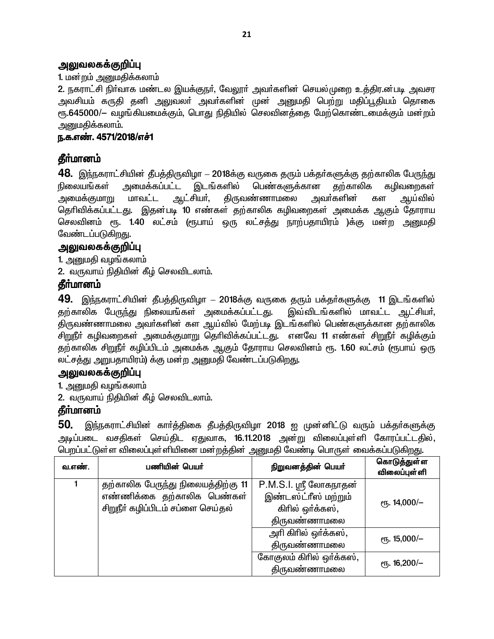### அலுவலகக்குறிப்பு

### 1. மன்றம் அனுமதிக்கலாம்

2. நகராட்சி நிர்வாக மண்டல இயக்குநர், வேலூர் அவர்களின் செயல்முறை உத்திர.ன்படி அவசர அவசியம் கருதி தனி அலுவலா் அவா்களின் முன் அனுமதி பெற்று மதிப்<u>பூ</u>தியம் தொகை ரூ.645000/— வழங்கியமைக்கும், பொது நிதியில் செலவினத்தை மேற்கொண்டமைக்கும் மன்றம் அனுமதிக்கலாம்.

### ந.க.எண். 4571/2018/எச்1

## **தீர்மானம்**

<u>48. இந்ந</u>கராட்சியின் தீபத்திருவிழா – 2018க்கு வருகை தரும் பக்தர்களுக்கு தற்காலிக பேருந்து நிலையங்கள் அமைக்கப்பட்ட இடங்களில் பெண்களுக்கான தற்காலிக கழிவறைகள<mark>்</mark> அமைக்குமாறு மாவட்ட ஆட்சியர், திருவண்ணாமலை அவர்களின் கள ஆய்வில<mark>்</mark> தெரிவிக்கப்பட்டது. இதன்படி 10 எண்கள் தற்காலிக கழிவறைகள் அமைக்க ஆகும் தோராய செலவினம் ரூ. 1.40 லட்சம் (ரூபாய் ஒரு லட்சத்து நாற்பதாயிரம் )க்கு மன்ற அனுமதி வேண்டப்படுகிறது.

### அலுவலகக்குறிப்பு

1. அனுமதி வழங்கலாம்

2. வருவாய் நிதியின் கீழ் செலவிடலாம்.

## **தீர்மானம்**

49. இந்நகராட்சியின் தீபத்திருவிழா – 2018க்கு வருகை தரும் பக்தர்களுக்கு 11 இடங்களில் தற்காலிக பேருந்து நிலையங்கள் அமைக்கப்பட்டது. இவ்விடங்களில் மாவட்ட ஆட்சியர், ்திருவண்ணாமலை அவர்களின் கள ஆய்வில் மேற்படி இடங்களில் பெண்களுக்கான தற்காலிக சிறுநீா் கழிவறைகள் அமைக்குமாறு தெரிவிக்கப்பட்டது. எனவே 11 எண்கள் சிறுநீா் கழிக்கும் தற்காலிக சிறுநீா் கழிப்பிடம் அமைக்க ஆகும் தோராய செலவினம் ரூ. 1.60 லட்சம் (ரூபாய் ஒரு லட்சத்து அறுபதாயிரம்) க்கு மன்ற அனுமதி வேண்டப்படுகிறது.

## <u>அலுவலகக்குறிப்பு</u>

1. அனுமதி வழங்கலாம்

2. வருவாய் நிதியின் கீழ் செலவிடலாம்.

## **கீர்மானம்**

50. இந்நகராட்சியின் கார்த்திகை தீபத்திருவிழா 2018 ஐ முன்னிட்டு வரும் பக்தர்களுக்கு அடிப்படை வசதிகள் செய்திட ஏதுவாக, 16.11.2018 அன்று விலைப்புள்ளி கோரப்பட்டதில், பெறப்பட்டுள்ள விலைப்புள்ளியினை மன்றத்தின் அனுமதி வேண்டி பொருள் வைக்கப்படுகி<u>றது</u>.

| வ.எண். | பணியின் பெயர்                      | நிறுவனத்தின் பெயர்       | கொடுத்துள்ள<br>விலைப்புள் ளி |
|--------|------------------------------------|--------------------------|------------------------------|
|        | தற்காலிக பேருந்து நிலையத்திற்கு 11 | P.M.S.I. ஸ்ரீ லோகநாதன்   |                              |
|        | எண்ணிக்கை தற்காலிக பெண்கள்         | இண்டஸ்ட்ரீஸ் மற்றும்     | $e$ гђ. 14,000/-             |
|        | சிறுநீர் கழிப்பிடம் சப்ளை செய்தல்  | கிரில் ஒர்க்கஸ்,         |                              |
|        |                                    | திருவண்ணாமலை             |                              |
|        |                                    | அரி கிரில் ஒர்க்கஸ்,     | $e$ гђ. 15,000/-             |
|        |                                    | திருவண்ணாமலை             |                              |
|        |                                    | கோகுலம் கிரில் ஒர்க்கஸ், | $e$ гђ. 16,200/-             |
|        |                                    | திருவண்ணாமல <u>ை</u>     |                              |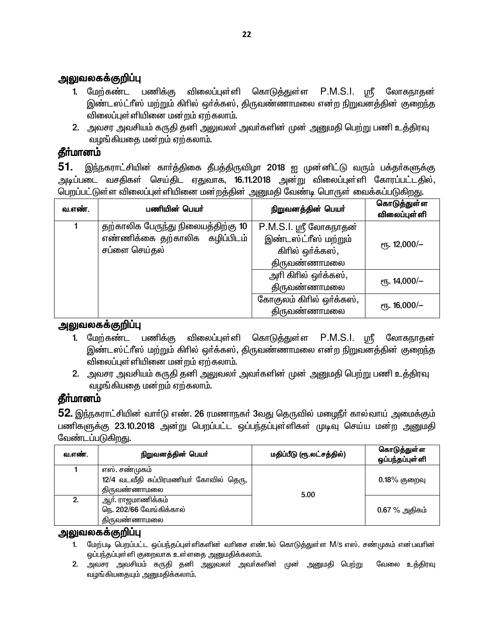## அலுவலகக்குறிப்பு

- P.M.S.I. ஸ்ரீ 1. மேற்கண்ட பணிக்கு விலைப்புள்ளி கொடுத்துள்ள லோகநாகன் இண்டஸ்ட்ரீஸ் மற்றும் கிரில் ஒர்க்கஸ், திருவண்ணாமலை என்ற நிறுவனத்தின் குறைந்த விலைப்புள்ளியினை மன்றம் ஏற்கலாம்.
- 2. அவசர அவசியம் கருதி தனி அலுவலா் அவா்களின் முன் அனுமதி பெற்று பணி உத்திரவு வழங்கியதை மன்றம் ஏற்கலாம்.

## தீா்மானம்

51. இந்நகராட்சியின் கார்த்திகை தீபத்திருவிழா 2018 ஐ முன்னிட்டு வரும் பக்தர்களுக்கு அடிப்படை வசதிகள் செய்திட ஏதுவாக, **16.11.2018** அன்று விலைப்புள்ளி கோரப்பட்டதில், பெறப்பட்டுள்ள விலைப்புள்ளியினை மன்றத்தின் அனுமதி வேண்டி பொருள் வைக்கப்படுகிறது.

| வ.எண். | பணியின் பெயர்                                                       | நிறுவனத்தின் பெயர்                             | கொடுத்துள்ள<br><b>விலைப்புள்</b> ளி |
|--------|---------------------------------------------------------------------|------------------------------------------------|-------------------------------------|
|        | தற்காலிக பேருந்து நிலையத்திற்கு 10<br>எண்ணிக்கை தற்காலிக கழிப்பிடம் | P.M.S.I. ஸ்ரீ லோகநாதன்<br>இண்டஸ்ட்ரீஸ் மற்றும் |                                     |
|        | சப்ளை செய்தல்                                                       | கிரில் ஒர்க்கஸ்,                               | $e$ гђ. 12,000/-                    |
|        |                                                                     | திருவண்ணாமலை                                   |                                     |
|        |                                                                     | அரி கிரில் ஒர்க்கஸ்,                           | $e$ гђ. 14,000/-                    |
|        |                                                                     | திருவண்ணாமலை                                   |                                     |
|        |                                                                     | கோகுலம் கிரில் ஒர்க்கஸ்,                       | ரு. 16,000/-                        |
|        |                                                                     | திருவண்ணாமலை                                   |                                     |

### அலுவலகக்குறிப்பு

- 1. மேற்கண்ட பணிக்கு கொடுத்துள்ள  $P.M.S.I.$  ஸ்ரீ விலைப்புள்ளி லோகநாதன் இண்டஸ்ட்ரீஸ் மற்றும் கிரில் ஒர்க்கஸ், திருவண்ணாமலை என்ற நிறுவனத்தின் குறைந்த விலைப்புள்ளியினை மன்றம் ஏற்கலாம்.
- 2. அவசர அவசியம் கருதி தனி அலுவலா் அவா்களின் முன் அனுமதி பெற்று பணி உத்திரவு வழங்கியதை மன்றம் ஏற்கலாம்.

# தீா்மானம்

 $52$ . இந்நகராட்சியின் வார்டு எண். 26 ரமணாநகர் 3வது தெருவில் மழைநீர் கால்வாய் அமைக்கும் பணிகளுக்கு 23.10.2018 அன்று பெறப்பட்ட ஒப்பந்தப்புள்ளிகள் முடிவு செய்ய மன்ற அனுமதி வேண்டப்படுகிறது.

| வ.எண். | நிறுவனத்தின் பெயர்                                                      | மதிப்பீடு (ரூ.லட்சத்தில்) | கொடுத்துள்ள<br>ஒப்பந்தப்புள்ளி |
|--------|-------------------------------------------------------------------------|---------------------------|--------------------------------|
|        | எஸ். சண்முகம்<br>12/4 வடவீதி சுப்பிரமணியர் கோவில் தெரு,<br>திருவண்ணாமலை | 5.00                      | $0.18\%$ குறைவு                |
| 2.     | ஆா். ராஜமாணிக்கம்<br>நெ. 202/66 வேங்கிக்கால்<br>திருவண்ணாமலை            |                           | $0.67\%$ அதிகம்                |

#### அலுவலகக்குறிப்பு

- 1. மேற்படி பெறப்பட்ட ஒப்பந்தப்புள்ளிகளின் வரிசை எண்.1ல் கொடுத்துள்ள M/S எஸ். சண்முகம் என்பவரின் ஒப்பந்தப்புள்ளி குறைவாக உள்ளதை அனுமதிக்கலாம்.
- 2. அவசர அவசியம் கருதி தனி அலுவலர் அவர்களின் முன் அனுமதி பெற்று வேலை உத்திரவு வழங்கியதையும் அனுமதிக்கலாம்.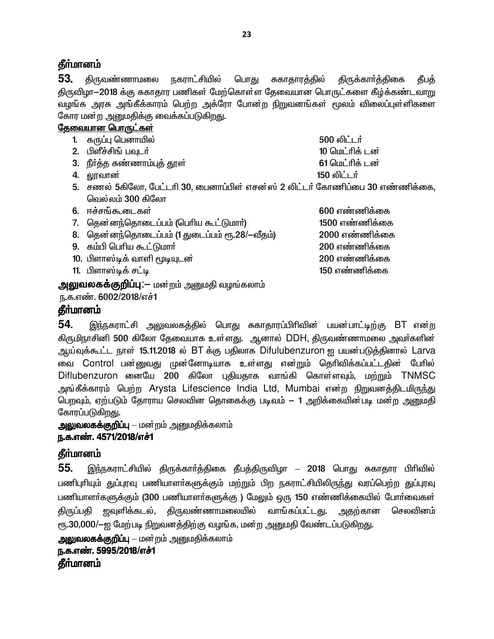## **கீர்மானம்**

53. திருவண்ணாமலை <u> நகராட்</u>சியில் பொது சுகாதாரத்தில் திருக்கார்த்திகை கீபக் திருவிழா-2018 க்கு சுகாதார பணிகள் மேற்கொள்ள தேவையான பொருட்களை கீழ்க்கண்டவாறு வழங்க அரசு அங்கீக்காரம் பெற்ற அக்ரோ போன்ற நிறுவனங்கள் மூலம் விலைப்புள்ளிகளை கோர மன்ற அனுமதிக்கு வைக்கப்படுகிறது.

### <u>தேவையான பொருட்க</u>ள்

- 1. கருப்பு பெனாயில் 500 லிட்டர் 2. பிளீச்சிங் பவுடர் 10 மெட்ரிக் டன் 61 மெட்ரிக் டன் 3. நீர்த்த சுண்ணாம்புத் தூள் 150 லிட்டர் 4. லாவான் 5. சணல் 5கிலோ, பேட்டரி 30, பைனாப்பிள் எசன்ஸ் 2 லிட்டர் கோணிப்பை 30 எண்ணிக்கை, வெல்லம் 300 கிலோ
- 6. ஈச்சங்கூடைகள்
- 7. தென்னந்தொடைப்பம் (பெரிய கூட்டுமார்)
- 8. தென்னந்தொடைப்பம் (1 துடைப்பம் ரூ.28/-வீதம்)
- 9. கம்பி பெரிய கூட்டுமார்
- 10. பிளாஸ்டிக் வாளி மூடியுடன்
- 11. பிளாஸ்டிக் சட்டி

**அலுவலகக்குறிப்பு**:— மன்றம் அனுமதி வழங்கலாம்

ந.க.எண். 6002/2018/எச்1

## **கீர்மானம்**

54. <u>இந்ந</u>கராட்சி அலுவலகத்தில் பொது சுகாதாரப்பிரிவின் பயன்பாட்டிற்கு BT என்ற கிருமிநாசினி 500 கிலோ தேவையாக உள்ளது. ஆனால் DDH, திருவண்ணாமலை அவர்களின் ஆய்வுக்கூட்ட நாள் 15.11.2018 ல் BT க்கு பதிலாக Difulubenzuron ஐ பயன்படுத்தினால் Larva வை Control பன்னுவது முன்னோடியாக உள்ளது என்றும் தெரிவிக்கப்பட்டதின் பேரில் Diflubenzuron னையே 200 கிலோ புதியதாக வாங்கி கொள்ளவும், மற்றும் TNMSC அங்கீக்காரம் பெற்ற Arysta Lifescience India Ltd, Mumbai என்ற நிறுவனக்கிடமிருந்து பெறவும், ஏற்படும் தோராய செலவின தொகைக்கு படிவம் — 1 அறிக்கையின்படி மன்ற அனுமதி கோரப்படுகிறது.

**அலுவலகக்குறிப்பு** — மன்றம் அனுமதிக்கலாம் ந.க.எண். 4571/2018/எச்1

## தீர்மானம்

55. இந்நகராட்சியில் திருக்காா்த்திகை தீபத்திருவிழா – 2018 பொது சுகாதார பிாிவில் பணிபுரியும் துப்புரவு பணியாளா்களுக்கும் மற்றும் பிற நகராட்சியிலிருந்து வரப்பெற்ற துப்புரவு பணியாளா்களுக்கும் (300 பணியாளா்களுக்கு ) மேலும் ஒரு 150 எண்ணிக்கையில் போா்வைகள் திருப்பதி ஜவுளிக்கடல், திருவண்ணாமலையில் வாங்கப்பட்டது. அதற்கான செலவினம் ரூ.30,000/--ஐ மேற்படி நிறுவனத்திற்கு வழங்க, மன்ற அனுமதி வேண்டப்படுகிறது.

```
அலுவலகக்குறிப்பு – மன்றம் அனுமதிக்கலாம்
ந.க.எண். 5995/2018/எச்1
கீர்மானம்
```
 $600 \pi$ ண்ணிக்கை 1500 எண்ணிக்கை  $2000$  எண்ணிக்கை 200 எண்ணிக்கை 200 எண்ணிக்கை 150 எண்ணிக்கை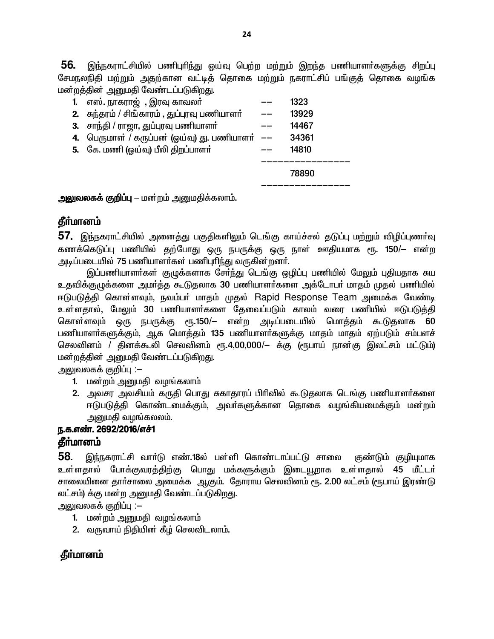56. இந்நகராட்சியில் பணிபுரிந்து ஓய்வு பெற்ற மற்றும் இறந்த பணியாளர்களுக்கு சிறப்பு சேமநலநிதி மற்றும் அதற்கான வட்டித் தொகை மற்றும் நகராட்சிப் பங்குத் தொகை வழங்க மன்றக்கின் அமைகி வேண்டப்படுகிறது.

| --- -- --                                    |       |
|----------------------------------------------|-------|
| 1. எஸ். நாகராஜ் , இரவு காவலா்                | 1323  |
| 2. சுந்தரம் / சிங்காரம் , துப்புரவு பணியாளா் | 13929 |
| 3. சாந்தி / ராஜா, துப்புரவு பணியாளா்         | 14467 |
| 4. பெருமாள் / கருப்பன் (ஒய்வு) து. பணியாளா்  | 34361 |
| 5. கே. மணி (ஒய்வு) பீலி திறப்பாளா்           | 14810 |
|                                              |       |
|                                              | 78890 |
|                                              |       |

அலுவலகக் குறிப்பு – மன்றம் அனுமதிக்கலாம்.

#### தீா்மானம்

57. இந்நகராட்சியில் அனைத்து பகுதிகளிலும் டெங்கு காய்ச்சல் தடுப்பு மற்றும் விழிப்புணா்வு கணக்கெடுப்பு பணியில் தற்போது ஒரு நபருக்கு ஒரு நாள் ஊதியமாக ரூ. 150/— என்ற அடிப்படையில் 75 பணியாளர்கள் பணிபுரிந்து வருகின்றனர்.

இப்பணியாளா்கள் குழுக்களாக சோ்ந்து டெங்கு ஒழிப்பு பணியில் மேலும் புதியதாக சுய உதவிக்குமுக்களை அமர்த்த கூடுதலாக 30 பணியாளர்களை அக்டோபர் மாதம் முதல் பணியில் ஈடுபடுத்தி கொள்ளவும், நவம்பர் மாதம் முதல் Rapid Response Team அமைக்க வேண்டி உள்ளதால், மேலும் 30 பணியாளா்களை தேவைப்படும் காலம் வரை பணியில் ஈடுபடுத்தி கொள்ளவும் ஒரு நபருக்கு ரூ.150/— என்ற அடிப்படையில் மொத்தம் கூடுதலாக 60 பணியாளாகளுக்கும், ஆக மொத்தம் 135 பணியாளாகளுக்கு மாதம் மாதம் ஏற்படும் சம்பளச் செலவினம் / தினக்கூலி செலவினம் ரூ.4,00,000/— க்கு (ரூபாய் நான்கு இலட்சம் மட்டும்) மன்றத்தின் அனுமதி வேண்டப்படுகிறது.

அலுவலகக் குறிப்பு :–

- 1. மன்றம் அனுமதி வழங்கலாம்
- 2. அவசர அவசியம் கருதி பொது சுகாதாரப் பிரிவில் கூடுதலாக டெங்கு பணியாளர்களை ஈடுபடுத்தி கொண்டமைக்கும், அவா்களுக்கான தொகை வழங்கியமைக்கும் மன்றம் அனுமதி வழங்கலலம்.

#### ந.க.எண். 2692/2016/எச்1 **கீர்மானம்**

58. இந்நகராட்சி வார்டு எண்.18ல் பள்ளி கொண்டாப்பட்டு சாலை குண்டும் குழியுமாக உள்ளதால் போக்குவரத்திற்கு பொது மக்களுக்கும் இடையூறாக உள்ளதால் 45 மீட்டர் சாலையினை தாா்சாலை அமைக்க ஆகும். தோராய செலவினம் ரூ. 2.00 லட்சம் (ரூபாய் இரண்டு லட்சம்) க்கு மன்ற அனுமதி வேண்டப்படுகிறது.

அலுவலகக் குறிப்பு :–

- 1. மன்றம் அனுமதி வழங்கலாம்
- 2. வருவாய் நிதியின் கீழ் செலவிடலாம்.

## தீா்மானம்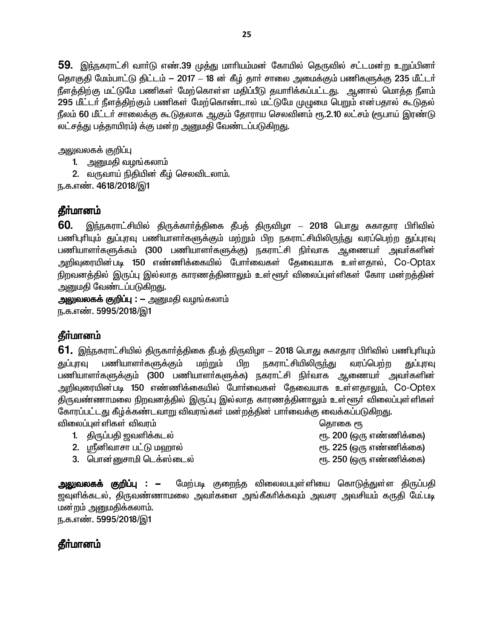59. இந்நகராட்சி வார்டு எண்.39 முத்து மாரியம்மன் கோயில் தெருவில் சட்டமன்ற உறுப்பினர் தொகுதி மேம்பாட்டு திட்டம் – 2017 – 18 ன் கீழ் தார் சாலை அமைக்கும் பணிகளுக்கு 235 மீட்டர் நீளத்திற்கு மட்டுமே பணிகள் மேற்கொள்ள மதிப்பீடு தயாரிக்கப்பட்டது. ஆனால் மொத்த நீளம் .<br>295 மீட்டர் நீளத்திற்கும் பணிகள் மேற்கொண்டால் மட்டுமே முழுமை பெறும் என்பதால் கூடுதல் நீலம் 60 மீட்டர் சாலைக்கு கூடுதலாக ஆகும் தோராய செலவினம் ரூ.2.10 லட்சம் (ரூபாய் இரண்டு லட்சத்து பத்தாயிரம்) க்கு மன்ற அனுமதி வேண்டப்படுகிறது.

அலுவலகக் குறிப்பு

- 1. அனுமதி வழங்கலாம்
- 2. வருவாய் நிதியின் கீழ் செலவிடலாம்.

ந.க.எண். 4618/2018/இ1

## **தீர்மானம்**

**60.** இந்நகராட்சியில் திருக்கார்த்திகை தீபத் திருவிழா – 2018 பொது சுகாதார பிரிவில் பணிபுரியும் துப்புரவு பணியாளா்களுக்கும் மற்றும் பிற நகராட்சியிலிருந்து வரப்பெற்ற துப்புரவு பணியாளா்களுக்கம் (300 பணியாளா்களுக்கு) நகராட்சி நிா்வாக ஆணையா் அவா்களின் அறிவுரையின்படி 150 எண்ணிக்கையில் போர்வைகள் கேவையாக உள்ளதால், Co-Optax நிறவனத்தில் இருப்பு இல்லாத காரணத்தினாலும் உள்<sub>€</sub>ளூா் விலைப்புள்ளிகள் கோர மன்றத்தின் அனுமதி வேண்டப்படுகிறது.

**அலுவலகக் குறிப்பு :** — அனுமதி வழங்கலாம் ந.க.எண். 5995/2018/இ1

## தீா்மானம்

**61.** இந்நகராட்சியில் திருகார்த்திகை தீபத் திருவிழா – 2018 பொது சுகாதார பிரிவில் பணிபுரியும் துப்புரவு பணியாளா்களுக்கும் மற்றும் பிற நகராட்சியிலிரு<u>ந்</u>து வரப்பெற்ற துப்புரவு பணியாளா்களுக்கும் (300 பணியாளா்களுக்க) நகராட்சி நிா்வாக ஆணையா் அவா்களின் அறிவுரையின்படி 150 எண்ணிக்கையில் போர்வைகள் தேவையாக உள்ளதாலும், Co-Optex திருவண்ணாமலை நிறவனத்தில் இருப்பு இல்லாத காரணத்தினாலும் உள்<sub>¢</sub>ளூா் விலைப்புள்ளிகள் கோரப்பட்டது கீழ்க்கண்டவாறு விவரங்கள் மன்றத்தின் பார்வைக்கு வைக்கப்படுகிறது. éiy¥òs¦ëfs¦ étu« bjhif %

- 1. ÂU¥g #të¡fly¦ %. 200 (xU v©â¡if)
- 2. ஸ்ரீனிவாசா பட்டு மஹால் கிட்டி கிட்டி கூடி 225 (ஒரு எண்ணிக்கை)
- 3. bghd¦Drhä bl¡[¦ily¦ %. 250 (xU v©â¡if)

**அலுவலகக் குறிப்பு : -** மேற்படி குறைந்த விலைலபபுள்ளியை கொடுத்துள்ள திருப்பதி ஜவுளிக்கடல், திருவண்ணாமலை அவா்களை அங்கீகாிக்கவும் அவசர அவசியம் கருதி மே்.படி மன்றம் அனுமதிக்கலாம். ந.க.எண். 5995/2018/இ1

தீா்மானம்

- 
- 
- 
-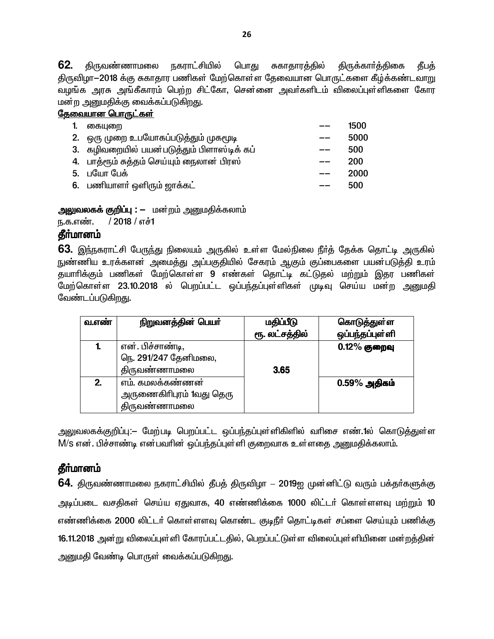62. <u>கிருவண்ணாமலை</u> <u> நகராட்</u>சியில் பொது சுகாதாரத்தில் திருக்கார்த்திகை கீபக் திருவிழா–2018 க்கு சுகாதார பணிகள் மேற்கொள்ள தேவையான பொருட்களை கீழ்க்கண்டவாறு வழங்க அரசு அங்கீகாரம் பெற்ற சிட்கோ, சென்னை அவர்களிடம் விலைப்புள்ளிகளை கோர மன்ற அனுமதிக்கு வைக்கப்படுகிறது.

### <u>தேவையான பொருட்கள்</u>

| கையுறை                                     |                             | 1500 |
|--------------------------------------------|-----------------------------|------|
| 2. ஒரு முறை உபயோகப்படுத்தும் முகமூடி       |                             | 5000 |
| 3. கழிவறையில் பயன்படுத்தும் பிளாஸ்டிக் கப் |                             | 500  |
| 4. பாத்ரூம் சுத்தம் செய்யும் நைலான பிரஸ்   |                             | 200  |
| 5. பயோ பேக்                                |                             | 2000 |
|                                            |                             | 500  |
|                                            | 6. பணியாளா் ஒளிரும் ஜாக்கட் |      |

<mark>அலுவலகக் குறிப்பு : —</mark> மன்றம் அனுமதிக்கலாம்

ந.க.எண்.  $/2018/$ எச்1

## தீா்மானம்

**63.** இந்நகராட்சி பேருந்து நிலையம் அருகில் உள்ள மேல்நிலை நீா்த் தேக்க தொட்டி அருகில் நுண்ணிய உரக்களன் அமைத்து அப்பகுதியில் சேகரம் ஆகும் குப்பைகளை பயன்படுத்தி உரம் தயாரிக்கும் பணிகள் மேற்கொள்ள 9 எண்கள் தொட்டி கட்டுதல் மற்றும் இதர பணிகள் மேற்கொள்ள 23.10.2018 ல் பெறப்பட்ட ஒப்பந்தப்புள்ளிகள் முடிவு செய்ய மன்ற அனுமதி வேண்டப்படுகிறது.

| வ.எண் | நிறுவனத்தின் பெயர்                                           | மதிப்பீடு<br>ரூ. லட்சத்தில் | கொடுத்துள்ள<br>ஒப்பந்தப்புள்ளி |
|-------|--------------------------------------------------------------|-----------------------------|--------------------------------|
| 1.    | என். பிச்சாண்டி,<br>நெ. 291/247 தேனிமலை,<br>திருவண்ணாமலை     | 3.65                        | $0.12\%$ குறைவு                |
| 2.    | எம். கமலக்கண்ணன்<br>அருணைகிரிபுரம் 1வது தெரு<br>திருவண்ணாமலை |                             | $0.59\%$ அதிகம்                |

அலுவலகக்குறிப்பு:— மேற்படி பெறப்பட்ட ஒப்பந்தப்புள்ளிகிளில் வரிசை எண்.1ல் கொடுத்துள்ள M/S என். பிச்சாண்டி என்பவரின் ஒப்பந்தப்புள்ளி குறைவாக உள்ளதை அனுமதிக்கலாம்.

# **தீர்மானம்**

**64.** திருவண்ணாமலை நகராட்சியில் தீபத் திருவிழா — 2019ஐ முன்னிட்டு வரும் பக்தர்களுக்கு அடிப்படை வசதிகள் செய்ய ஏதுவாக, 40 எண்ணிக்கை 1000 லிட்டர் கொள்ளளவு மற்றும் 10 எண்ணிக்கை 2000 லிட்டர் கொள்ளளவு கொண்ட குடிநீர் தொட்டிகள் சப்ளை செய்யும் பணிக்கு 16.11.2018 அன்று விலைப்புள்ளி கோரப்பட்டதில், பெறப்பட்டுள்ள விலைப்புள்ளியினை மன்றத்தின் அனுமதி வேண்டி பொருள் வைக்கப்படுகிறது.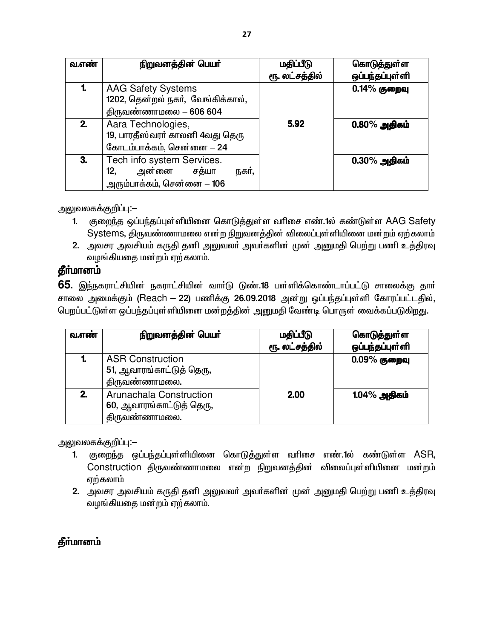| வ.எண் | நிறுவனத்தின் பெயர்                                             | மதிப்பீடு      | கொடுத்துள்ள     |
|-------|----------------------------------------------------------------|----------------|-----------------|
|       |                                                                | ரூ. லட்சத்தில் | ஒப்பந்தப்புள்ளி |
|       | <b>AAG Safety Systems</b><br>1202, தென்றல் நகர், வேங்கிக்கால், |                | $0.14\%$ குறைவு |
|       | திருவண்ணாமலை $-606604$                                         |                |                 |
| 2.    | Aara Technologies,<br>19, பாரதீஸ்வரா் காலனி 4வது தெரு          | 5.92           | $0.80\%$ அதிகம் |
|       | கோடம்பாக்கம், சென்னை - 24                                      |                |                 |
| З.    | Tech info system Services.                                     |                | $0.30\%$ அதிகம் |
|       | அன்னை சத்யா<br>12,<br>நகர்,                                    |                |                 |
|       | அரும்பாக்கம், சென்னை $-106$                                    |                |                 |

அலுவலகக்குறிப்பு:–

- 1. குறைந்த ஒப்பந்தப்புள்ளியினை கொடுத்துள்ள வரிசை எண்.1ல் கண்டுள்ள AAG Safety Systems, திருவண்ணாமலை என்ற நிறுவனத்தின் விலைப்புள்ளியினை மன்றம் ஏற்கலாம்
- 2. அவசர அவசியம் கருதி தனி அலுவலா் அவா்களின் முன் அனுமதி பெற்று பணி உத்திரவு வழங்கியதை மன்றம் ஏற்கலாம்.

# **தீர்மானம்**

**65.** இந்நகராட்சியின் நகராட்சியின் வார்டு டுண்.18 பள்ளிக்கொண்டாப்பட்டு சாலைக்கு தார் சாலை அமைக்கும் (Reach – 22) பணிக்கு 26.09.2018 அன்று ஒப்பந்தப்புள்ளி கோரப்பட்டதில், பெறப்பட்டுள்ள ஒப்பந்தப்புள்ளியினை மன்றத்தின் அனுமதி வேண்டி பொருள் வைக்கப்படுகிறது.

| வ.எண் | நிறுவனத்தின் பெயர்                                                   | மதிப்பீடு<br>ரூ. லட்சத்தில் | கொடுத்துள்ள<br>ஒப்பந்தப்புள்ளி |
|-------|----------------------------------------------------------------------|-----------------------------|--------------------------------|
|       | <b>ASR Construction</b><br>51, ஆவாரங்காட்டுத் தெரு,<br>திருவண்ணாமலை. |                             | $0.09\%$ குறைவு                |
| 2.    | Arunachala Construction<br>60, ஆவாரங்காட்டுத் தெரு,<br>திருவண்ணாமலை. | <b>2.00</b>                 | 1.04% அதிகம்                   |

அலுவலகக்குறிப்பு:–

- 1. குறைந்த ஒப்பந்தப்புள்ளியினை கொடுத்துள்ள வரிசை எண்.1ல் கண்டுள்ள ASR, Construction திருவண்ணாமலை என்ற நிறுவனத்தின் விலைப்புள்ளியினை மன்றம் ஏற்கலாம்
- 2. அவசர அவசியம் கருதி தனி அலுவலா் அவா்களின் முன் அனுமதி பெற்று பணி உத்திரவு வழங்கியதை மன்றம் ஏற்கலாம்.

# **கீர்மானம்**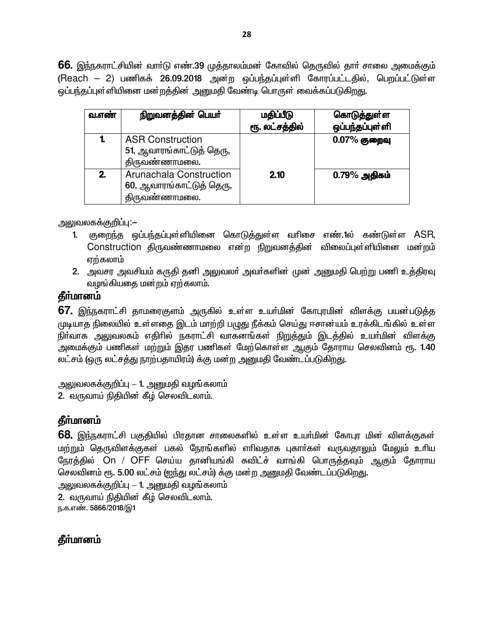**66.** இந்நகராட்சியின் வார்டு எண்.39 முத்தாலம்மன் கோவில் தெருவில் தார் சாலை அமைக்கும் (Reach - 2) பணிகக் 26.09.2018 அன்ற ஒப்பந்தப்புள்ளி கோரப்பட்டதில், பெறப்பட்டுள்ள ஒப்பந்தப்புள்ளியினை மன்றத்தின் அனுமதி வேண்டி பொருள் வைக்கப்படுகிறது.

| வ.எண் | நிறுவனத்தின் பெயர்                                                   | மதிப்பீடு<br>ரூ. லட்சத்தில் | கொடுத்துள்ள<br>ஒப்பந்தப்புள்ளி |
|-------|----------------------------------------------------------------------|-----------------------------|--------------------------------|
| 1.    | <b>ASR Construction</b><br>51, ஆவாரங்காட்டுத் தெரு,<br>திருவண்ணாமலை. |                             | $0.07\%$ குறைவு                |
| 2.    | Arunachala Construction<br>60, ஆவாரங்காட்டுத் தெரு,<br>திருவண்ணாமலை. | 2.10                        | $0.79\%$ அதிகம்                |

அலுவலகக்குறிப்பு:—

- 1. குறைந்த ஒப்பந்தப்புள்ளியினை கொடுத்துள்ள வரிசை எண்.1ல் கண்டுள்ள ASR, Construction திருவண்ணாமலை என்ற நிறுவனத்தின் விலைப்புள்ளியினை மன்றம் எற்கலாம்
- 2. அவசர அவசியம் கருதி தனி அலுவலர் அவர்களின் முன் அனுமதி பெற்று பணி உத்திரவு வழங்கியதை மன்றம் ஏற்கலாம்.

## **கீர்மானம்**

67. இந்நகராட்சி தாமரைகுளம் அருகில் உள்ள உயர்மின் கோபுரமின் விளக்கு பயன்படுத்த முடியாத நிலையில் உள்ளதை இடம் மாற்றி பழுது நீக்கம் செய்து ஈசான்யம் உரக்கிடங்கில் உள்ள நிா்வாக அலுவலகம் எதிாில் நகராட்சி வாகனங்கள் நிறுத்தும் இடத்தில் உயா்மின் விளக்கு அமைக்கும் பணிகள் மற்றும் இதர பணிகள் மேற்கொள்ள ஆகும் தோராய செலவினம் ரூ. 1.40 லட்சம் (ஒரு லட்சத்து நாற்பதாயிரம்) க்கு மன்ற அனுமதி வேண்டப்படுகிறது.

அலுவலகக்குறிப்பு — 1. அனுமதி வழங்கலாம் 2. வருவாய் நிதியின் கீழ் செலவிடலாம்.

# தீா்மானம்

68. இந்நகராட்சி பகுதியில் பிரதான சாலைகளில் உள்ள உயர்மின் கோபுர மின் விளக்குகள் மற்றும் தெருவிளக்குகள் பகல் நேரங்களில் எரிவதாக புகார்கள் வருவதாலும் மேலும் உரிய நேரத்தில் On / OFF செய்ய தானியங்கி சுவிட்ச் வாங்கி பொருத்தவும் ஆகும் தோராய செலவினம் ரூ. 5.00 லட்சம் (ஐந்து லட்சம்) க்கு மன்ற அனுமதி வேண்டப்படுகிறது.

அலுவலகக்குறிப்பு — 1. அனுமதி வழங்கலாம் 2. வருவாய் நிதியின் கீழ் செலவிடலாம். ந.க.எண். 5866/2018/இ1

## தீா்மானம்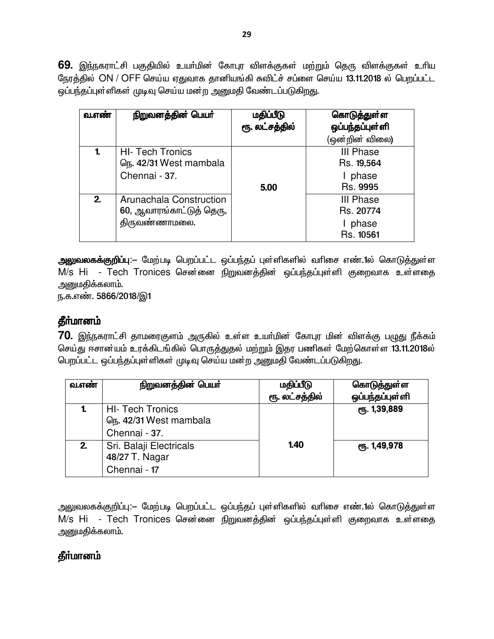69. இந்நகராட்சி பகுதியில் உயர்மின் கோபுர விளக்குகள் மற்றும் தெரு விளக்குகள் உரிய நேரத்தில் ON / OFF செய்ய ஏதுவாக தானியங்கி சுவிட்ச் சப்ளை செய்ய 13.11.2018 ல் பெறப்பட்ட <u>ஒப்பந்த</u>ப்புள்ளிகள் முடிவு செய்ய மன்ற அனுமதி வேண்டப்படுகிறது.

| வ.எண் | நிறுவனத்தின் பெயர்                                                   | மதிப்பீடு<br>ரூ. லட்சத்தில் | கொடுத்துள்ள<br>ஒப்பந்தப்புள்ளி<br>(ஒன்றின் விலை)    |
|-------|----------------------------------------------------------------------|-----------------------------|-----------------------------------------------------|
| 1.    | <b>HI- Tech Tronics</b><br>டுந. 42/31 West mambala<br>Chennai - 37.  | 5.00                        | <b>III Phase</b><br>Rs. 19,564<br>phase<br>Rs. 9995 |
| 2.    | Arunachala Construction<br>60, ஆவாரங்காட்டுத் தெரு,<br>திருவண்ணாமலை. |                             | <b>III Phase</b><br>Rs. 20774<br>phase<br>Rs. 10561 |

அலுவலகக்குறிப்பு:— மேற்படி பெறப்பட்ட ஒப்பந்தப் புள்ளிகளில் வரிசை எண்.1ல் கொடுத்துள்ள M/s Hi - Tech Tronices சென்னை நிறுவனத்தின் ஒப்பந்தப்புள்ளி குறைவாக உள்ளதை அனுமகிக்கலாம்.

<u>ந</u>.க.எண். 5866/2018/இ1

## **தீர்மானம்**

70. இந்நகராட்சி தாமரைகுளம் அருகில் உள்ள உயர்மின் கோபுர மின் விளக்கு பழுது நீக்கம் செய்து ஈசான்யம் உரக்கிடங்கில் பொருத்துதல் மற்றும் இதர பணிகள் மேற்கொள்ள 13.11.2018ல் பெறப்பட்ட ஒப்பந்தப்புள்ளிகள் முடிவு செய்ய மன்ற அனுமதி வேண்டப்படுகிறது.

| வ.எண் | நிறுவனத்தின் பெயர்                                                  | மதிப்பீடு<br>ரூ. லட்சத்தில் | கொடுத்துள்ள<br>ஒப்பந்தப்புள்ளி |
|-------|---------------------------------------------------------------------|-----------------------------|--------------------------------|
|       | <b>HI- Tech Tronics</b><br>டுந. 42/31 West mambala<br>Chennai - 37. |                             | ரு. 1,39,889                   |
| 2.    | Sri. Balaji Electricals<br>48/27 T. Nagar<br>Chennai - 17           | 1.40                        | ரு. 1,49,978                   |

அலுவலகக்குறிப்பு:— மேற்படி பெறப்பட்ட ஒப்பந்தப் புள்ளிகளில் வரிசை எண்.1ல் கொடுத்துள்ள M/s Hi - Tech Tronices சென்னை நிறுவனத்தின் ஒப்பந்தப்புள்ளி குறைவாக உள்ளதை அனுமதிக்கலாம்.

## **தீர்மானம்**